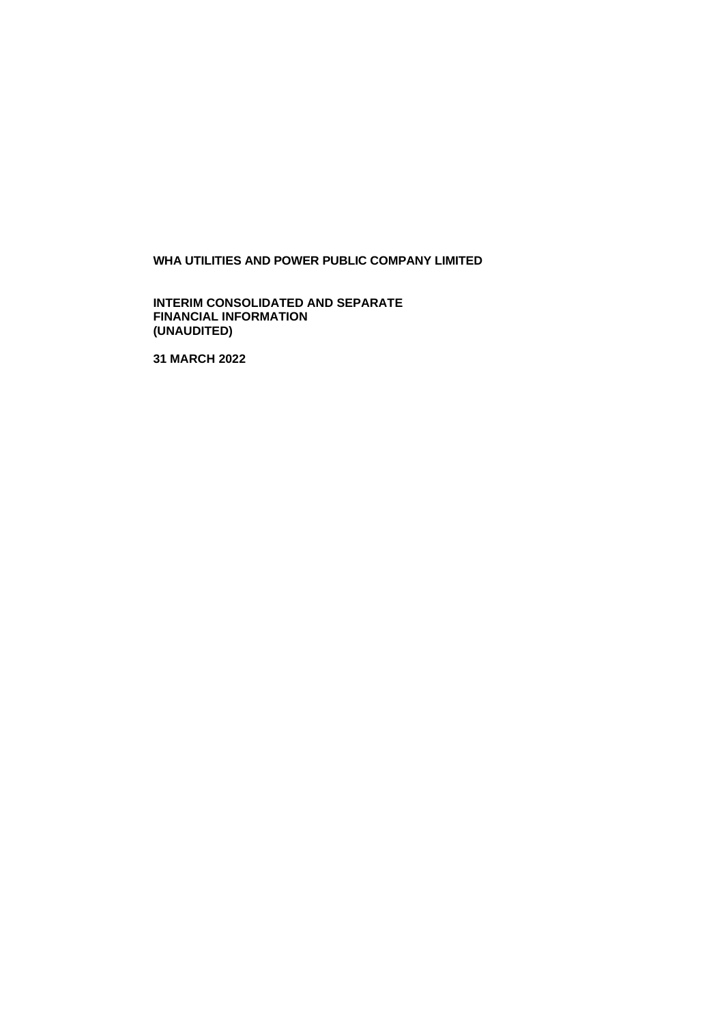## **WHA UTILITIES AND POWER PUBLIC COMPANY LIMITED**

**INTERIM CONSOLIDATED AND SEPARATE FINANCIAL INFORMATION (UNAUDITED)**

**31 MARCH 2022**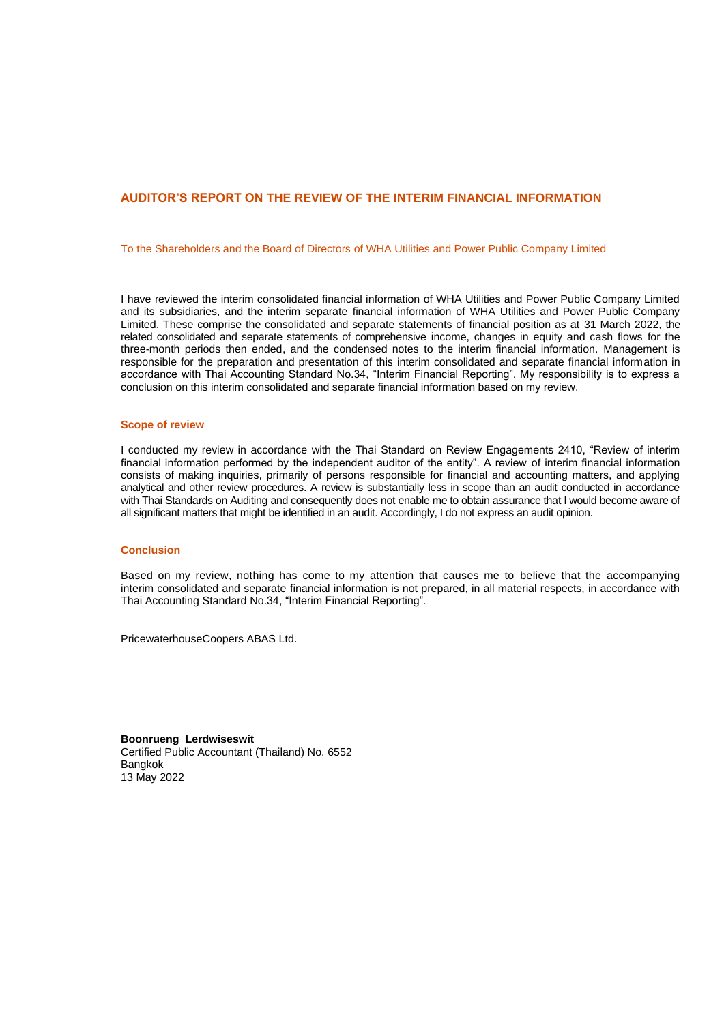#### **AUDITOR'S REPORT ON THE REVIEW OF THE INTERIM FINANCIAL INFORMATION**

To the Shareholders and the Board of Directors of WHA Utilities and Power Public Company Limited

I have reviewed the interim consolidated financial information of WHA Utilities and Power Public Company Limited and its subsidiaries, and the interim separate financial information of WHA Utilities and Power Public Company Limited. These comprise the consolidated and separate statements of financial position as at 31 March 2022, the related consolidated and separate statements of comprehensive income, changes in equity and cash flows for the three-month periods then ended, and the condensed notes to the interim financial information. Management is responsible for the preparation and presentation of this interim consolidated and separate financial information in accordance with Thai Accounting Standard No.34, "Interim Financial Reporting". My responsibility is to express a conclusion on this interim consolidated and separate financial information based on my review.

#### **Scope of review**

I conducted my review in accordance with the Thai Standard on Review Engagements 2410, "Review of interim financial information performed by the independent auditor of the entity". A review of interim financial information consists of making inquiries, primarily of persons responsible for financial and accounting matters, and applying analytical and other review procedures. A review is substantially less in scope than an audit conducted in accordance with Thai Standards on Auditing and consequently does not enable me to obtain assurance that I would become aware of all significant matters that might be identified in an audit. Accordingly, I do not express an audit opinion.

#### **Conclusion**

Based on my review, nothing has come to my attention that causes me to believe that the accompanying interim consolidated and separate financial information is not prepared, in all material respects, in accordance with Thai Accounting Standard No.34, "Interim Financial Reporting".

PricewaterhouseCoopers ABAS Ltd.

**Boonrueng Lerdwiseswit** Certified Public Accountant (Thailand) No. 6552 Bangkok 13 May 2022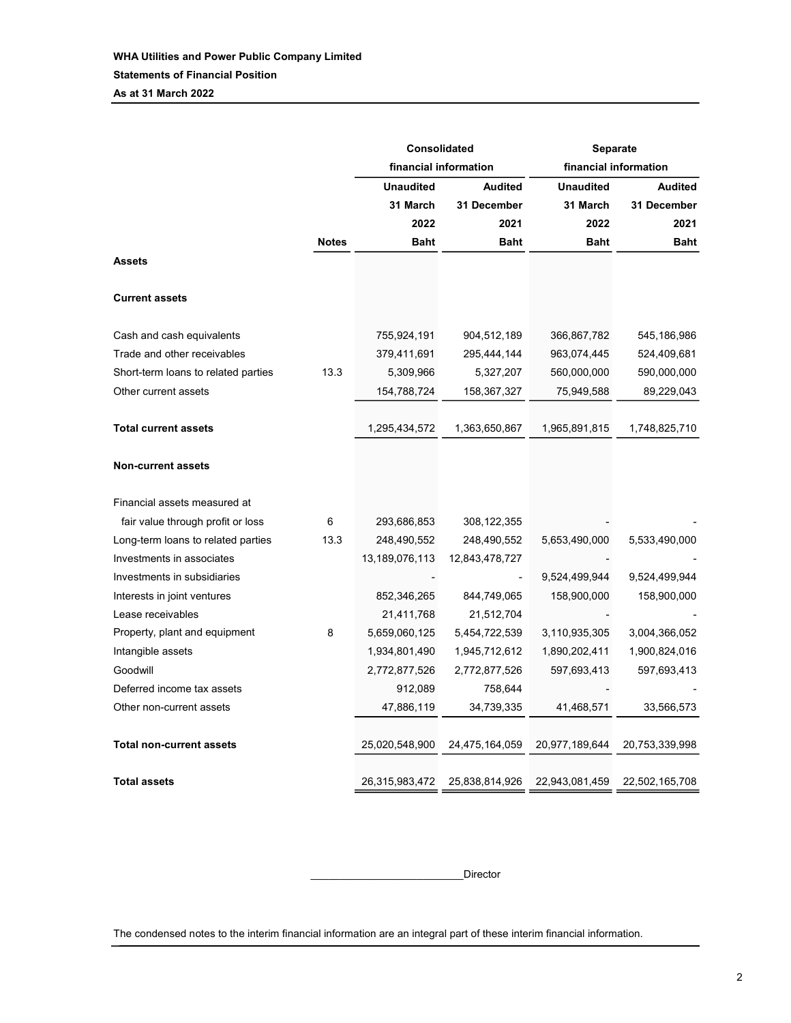As at 31 March 2022

|                                     |              | <b>Consolidated</b> |                       | <b>Separate</b>  |                       |  |
|-------------------------------------|--------------|---------------------|-----------------------|------------------|-----------------------|--|
|                                     |              |                     | financial information |                  | financial information |  |
|                                     |              | <b>Unaudited</b>    | <b>Audited</b>        | <b>Unaudited</b> | <b>Audited</b>        |  |
|                                     |              | 31 March            | 31 December           | 31 March         | 31 December           |  |
|                                     |              | 2022                | 2021                  | 2022             | 2021                  |  |
|                                     | <b>Notes</b> | <b>Baht</b>         | <b>Baht</b>           | <b>Baht</b>      | Baht                  |  |
| <b>Assets</b>                       |              |                     |                       |                  |                       |  |
| <b>Current assets</b>               |              |                     |                       |                  |                       |  |
| Cash and cash equivalents           |              | 755,924,191         | 904,512,189           | 366,867,782      | 545,186,986           |  |
| Trade and other receivables         |              | 379,411,691         | 295,444,144           | 963,074,445      | 524,409,681           |  |
| Short-term loans to related parties | 13.3         | 5,309,966           | 5,327,207             | 560,000,000      | 590,000,000           |  |
| Other current assets                |              | 154,788,724         | 158,367,327           | 75,949,588       | 89,229,043            |  |
| <b>Total current assets</b>         |              | 1,295,434,572       | 1,363,650,867         | 1,965,891,815    | 1,748,825,710         |  |
| Non-current assets                  |              |                     |                       |                  |                       |  |
| Financial assets measured at        |              |                     |                       |                  |                       |  |
| fair value through profit or loss   | 6            | 293,686,853         | 308,122,355           |                  |                       |  |
| Long-term loans to related parties  | 13.3         | 248,490,552         | 248,490,552           | 5,653,490,000    | 5,533,490,000         |  |
| Investments in associates           |              | 13,189,076,113      | 12,843,478,727        |                  |                       |  |
| Investments in subsidiaries         |              |                     |                       | 9,524,499,944    | 9,524,499,944         |  |
| Interests in joint ventures         |              | 852,346,265         | 844,749,065           | 158,900,000      | 158,900,000           |  |
| Lease receivables                   |              | 21,411,768          | 21,512,704            |                  |                       |  |
| Property, plant and equipment       | 8            | 5,659,060,125       | 5,454,722,539         | 3,110,935,305    | 3,004,366,052         |  |
| Intangible assets                   |              | 1,934,801,490       | 1,945,712,612         | 1,890,202,411    | 1,900,824,016         |  |
| Goodwill                            |              | 2,772,877,526       | 2,772,877,526         | 597,693,413      | 597,693,413           |  |
| Deferred income tax assets          |              | 912,089             | 758,644               |                  |                       |  |
| Other non-current assets            |              | 47,886,119          | 34,739,335            | 41,468,571       | 33,566,573            |  |
| <b>Total non-current assets</b>     |              | 25,020,548,900      | 24,475,164,059        | 20,977,189,644   | 20,753,339,998        |  |
| <b>Total assets</b>                 |              | 26,315,983,472      | 25,838,814,926        | 22,943,081,459   | 22,502,165,708        |  |

\_\_\_\_\_\_\_\_\_\_\_\_\_\_\_\_\_\_\_\_\_\_\_\_\_\_Director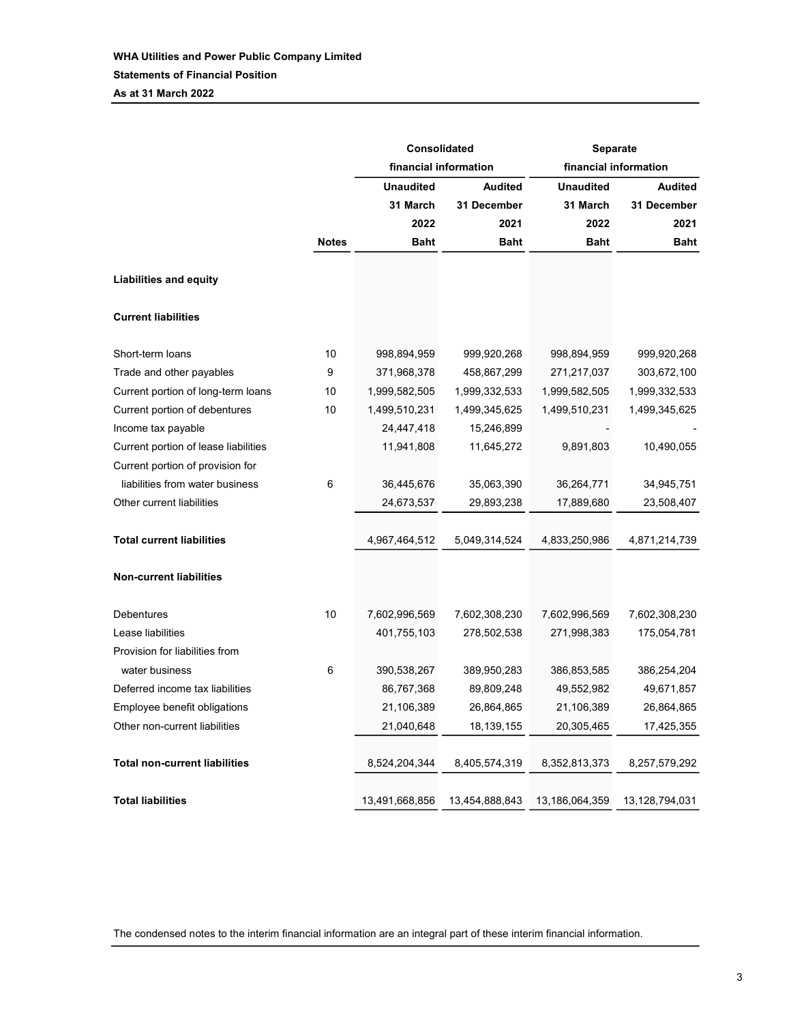As at 31 March 2022

|                                      |              |                  | <b>Consolidated</b>   | <b>Separate</b>  |                       |  |  |
|--------------------------------------|--------------|------------------|-----------------------|------------------|-----------------------|--|--|
|                                      |              |                  | financial information |                  | financial information |  |  |
|                                      |              | <b>Unaudited</b> | <b>Audited</b>        | <b>Unaudited</b> | <b>Audited</b>        |  |  |
|                                      |              | 31 March         | 31 December           | 31 March         | 31 December           |  |  |
|                                      |              | 2022             | 2021                  | 2022             | 2021                  |  |  |
|                                      | <b>Notes</b> | <b>Baht</b>      | <b>Baht</b>           | <b>Baht</b>      | <b>Baht</b>           |  |  |
| <b>Liabilities and equity</b>        |              |                  |                       |                  |                       |  |  |
| <b>Current liabilities</b>           |              |                  |                       |                  |                       |  |  |
| Short-term loans                     | 10           | 998,894,959      | 999,920,268           | 998,894,959      | 999,920,268           |  |  |
| Trade and other payables             | 9            | 371,968,378      | 458,867,299           | 271,217,037      | 303,672,100           |  |  |
| Current portion of long-term loans   | 10           | 1,999,582,505    | 1,999,332,533         | 1,999,582,505    | 1,999,332,533         |  |  |
| Current portion of debentures        | 10           | 1,499,510,231    | 1,499,345,625         | 1,499,510,231    | 1,499,345,625         |  |  |
| Income tax payable                   |              | 24,447,418       | 15,246,899            |                  |                       |  |  |
| Current portion of lease liabilities |              | 11,941,808       | 11,645,272            | 9,891,803        | 10,490,055            |  |  |
| Current portion of provision for     |              |                  |                       |                  |                       |  |  |
| liabilities from water business      | 6            | 36,445,676       | 35,063,390            | 36,264,771       | 34,945,751            |  |  |
| Other current liabilities            |              | 24,673,537       | 29,893,238            | 17,889,680       | 23,508,407            |  |  |
| <b>Total current liabilities</b>     |              | 4,967,464,512    | 5,049,314,524         | 4,833,250,986    | 4,871,214,739         |  |  |
| <b>Non-current liabilities</b>       |              |                  |                       |                  |                       |  |  |
| Debentures                           | 10           | 7,602,996,569    | 7,602,308,230         | 7,602,996,569    | 7,602,308,230         |  |  |
| Lease liabilities                    |              | 401,755,103      | 278,502,538           | 271,998,383      | 175,054,781           |  |  |
| Provision for liabilities from       |              |                  |                       |                  |                       |  |  |
| water business                       | 6            | 390,538,267      | 389,950,283           | 386,853,585      | 386,254,204           |  |  |
| Deferred income tax liabilities      |              | 86,767,368       | 89,809,248            | 49,552,982       | 49,671,857            |  |  |
| Employee benefit obligations         |              | 21,106,389       | 26,864,865            | 21,106,389       | 26,864,865            |  |  |
| Other non-current liabilities        |              | 21,040,648       | 18,139,155            | 20,305,465       | 17,425,355            |  |  |
| <b>Total non-current liabilities</b> |              | 8,524,204,344    | 8,405,574,319         | 8,352,813,373    | 8,257,579,292         |  |  |
| <b>Total liabilities</b>             |              | 13,491,668,856   | 13,454,888,843        | 13,186,064,359   | 13,128,794,031        |  |  |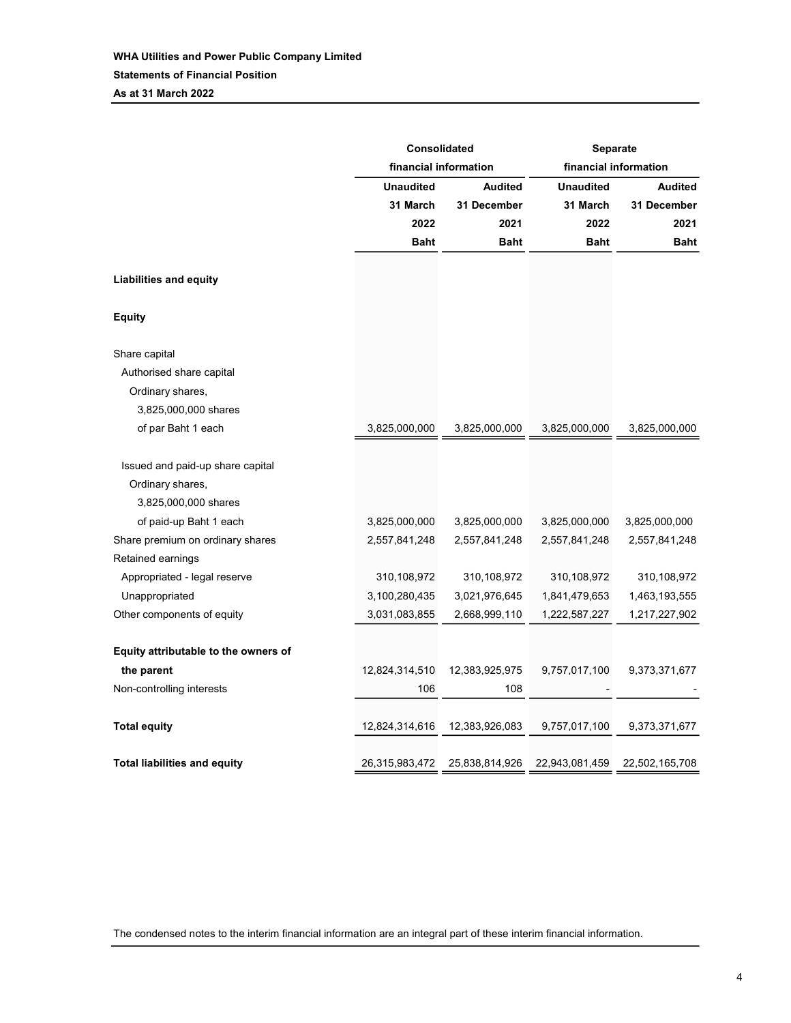Unaudited Audited Unaudited Audited 31 March 31 December 31 March 31 December 2022 2021 2022 2021 Baht Baht Baht Baht Liabilities and equity Equity Share capital Authorised share capital Ordinary shares, 3,825,000,000 shares of par Baht 1 each 3,825,000,000 3,825,000,000 3,825,000,000 3,825,000,000 Issued and paid-up share capital Ordinary shares, 3,825,000,000 shares of paid-up Baht 1 each 3,825,000,000 3,825,000,000 3,825,000,000 3,825,000,000 Share premium on ordinary shares 2,557,841,248 2,557,841,248 2,557,841,248 2,557,841,248 Retained earnings Appropriated - legal reserve 310,108,972 310,108,972 310,108,972 310,108,972 Unappropriated 3,100,280,435 3,021,976,645 1,841,479,653 1,463,193,555 Other components of equity 3,031,083,855 2,668,999,110 1,222,587,227 1,217,227,902 Equity attributable to the owners of the parent 12,824,314,510 12,383,925,975 9,757,017,100 9,373,371,677 Non-controlling interests the controlling interests the controlling interests the controlling interests of the controlling interests of the controlling interests of the controlling interests of the controlling interests of Total equity 12,824,314,616 12,383,926,083 9,757,017,100 9,373,371,677 Total liabilities and equity 26,315,983,472 25,838,814,926 22,943,081,459 22,502,165,708 Consolidated Separate financial information financial information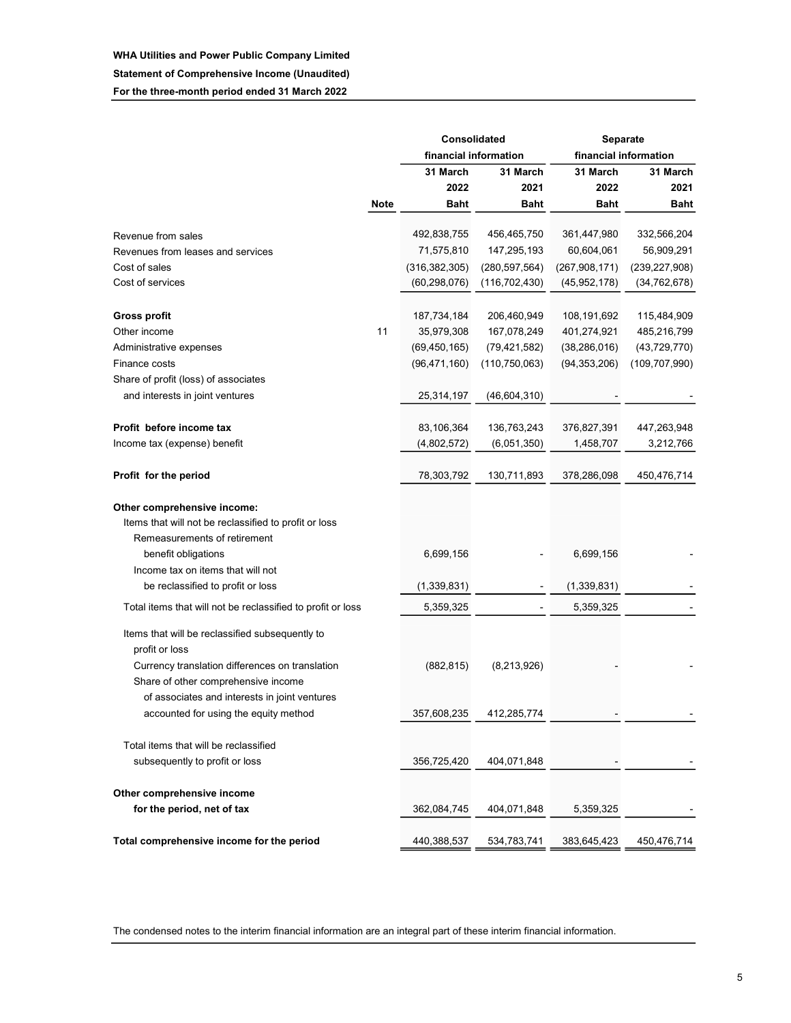#### WHA Utilities and Power Public Company Limited

#### Statement of Comprehensive Income (Unaudited)

For the three-month period ended 31 March 2022

|                                                                   |             |                 | Consolidated          | Separate        |                       |  |
|-------------------------------------------------------------------|-------------|-----------------|-----------------------|-----------------|-----------------------|--|
|                                                                   |             |                 | financial information |                 | financial information |  |
|                                                                   |             | 31 March        | 31 March              | 31 March        | 31 March              |  |
|                                                                   |             | 2022            | 2021                  | 2022            | 2021                  |  |
|                                                                   | <b>Note</b> | Baht            | Baht                  | <b>Baht</b>     | <b>Baht</b>           |  |
| Revenue from sales                                                |             | 492,838,755     | 456,465,750           | 361,447,980     | 332,566,204           |  |
| Revenues from leases and services                                 |             | 71,575,810      | 147,295,193           | 60,604,061      | 56,909,291            |  |
| Cost of sales                                                     |             | (316, 382, 305) | (280, 597, 564)       | (267, 908, 171) | (239, 227, 908)       |  |
| Cost of services                                                  |             | (60, 298, 076)  | (116, 702, 430)       | (45, 952, 178)  | (34, 762, 678)        |  |
| <b>Gross profit</b>                                               |             | 187,734,184     | 206,460,949           | 108,191,692     | 115,484,909           |  |
| Other income                                                      | 11          | 35,979,308      | 167,078,249           | 401,274,921     | 485,216,799           |  |
| Administrative expenses                                           |             | (69, 450, 165)  | (79, 421, 582)        | (38, 286, 016)  | (43, 729, 770)        |  |
| Finance costs                                                     |             | (96, 471, 160)  | (110, 750, 063)       | (94, 353, 206)  | (109, 707, 990)       |  |
| Share of profit (loss) of associates                              |             |                 |                       |                 |                       |  |
| and interests in joint ventures                                   |             | 25,314,197      | (46, 604, 310)        |                 |                       |  |
| Profit before income tax                                          |             | 83,106,364      | 136,763,243           | 376,827,391     | 447,263,948           |  |
| Income tax (expense) benefit                                      |             | (4,802,572)     | (6,051,350)           | 1,458,707       | 3,212,766             |  |
|                                                                   |             |                 |                       |                 |                       |  |
| Profit for the period                                             |             | 78,303,792      | 130,711,893           | 378,286,098     | 450,476,714           |  |
| Other comprehensive income:                                       |             |                 |                       |                 |                       |  |
| Items that will not be reclassified to profit or loss             |             |                 |                       |                 |                       |  |
| Remeasurements of retirement                                      |             |                 |                       |                 |                       |  |
| benefit obligations                                               |             | 6,699,156       |                       | 6,699,156       |                       |  |
| Income tax on items that will not                                 |             |                 |                       |                 |                       |  |
| be reclassified to profit or loss                                 |             | (1,339,831)     |                       | (1, 339, 831)   |                       |  |
| Total items that will not be reclassified to profit or loss       |             | 5,359,325       |                       | 5,359,325       |                       |  |
| Items that will be reclassified subsequently to<br>profit or loss |             |                 |                       |                 |                       |  |
| Currency translation differences on translation                   |             | (882, 815)      | (8,213,926)           |                 |                       |  |
| Share of other comprehensive income                               |             |                 |                       |                 |                       |  |
| of associates and interests in joint ventures                     |             |                 |                       |                 |                       |  |
| accounted for using the equity method                             |             | 357,608,235     | 412,285,774           |                 |                       |  |
| Total items that will be reclassified                             |             |                 |                       |                 |                       |  |
| subsequently to profit or loss                                    |             | 356,725,420     | 404,071,848           |                 |                       |  |
|                                                                   |             |                 |                       |                 |                       |  |
| Other comprehensive income                                        |             |                 |                       |                 |                       |  |
| for the period, net of tax                                        |             | 362,084,745     | 404,071,848           | 5,359,325       |                       |  |
| Total comprehensive income for the period                         |             | 440,388,537     | 534,783,741           | 383,645,423     | 450,476,714           |  |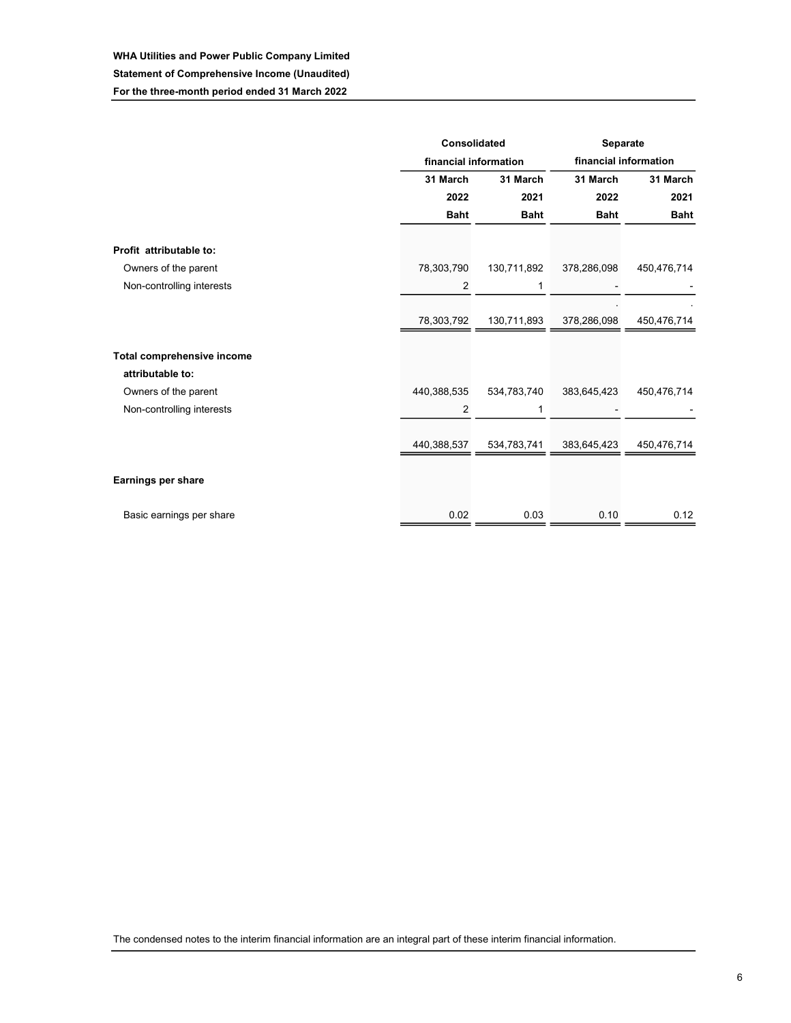## WHA Utilities and Power Public Company Limited Statement of Comprehensive Income (Unaudited)

For the three-month period ended 31 March 2022

|                                   | <b>Consolidated</b> |                       | Separate              |             |  |  |
|-----------------------------------|---------------------|-----------------------|-----------------------|-------------|--|--|
|                                   |                     | financial information | financial information |             |  |  |
|                                   | 31 March            | 31 March              | 31 March              | 31 March    |  |  |
|                                   | 2022                | 2021                  | 2022                  | 2021        |  |  |
|                                   | <b>Baht</b>         | <b>Baht</b>           | <b>Baht</b>           | <b>Baht</b> |  |  |
|                                   |                     |                       |                       |             |  |  |
| Profit attributable to:           |                     |                       |                       |             |  |  |
| Owners of the parent              | 78,303,790          | 130,711,892           | 378,286,098           | 450,476,714 |  |  |
| Non-controlling interests         | 2                   | 1                     |                       |             |  |  |
|                                   |                     |                       |                       |             |  |  |
|                                   | 78,303,792          | 130,711,893           | 378,286,098           | 450,476,714 |  |  |
| <b>Total comprehensive income</b> |                     |                       |                       |             |  |  |
| attributable to:                  |                     |                       |                       |             |  |  |
| Owners of the parent              | 440,388,535         | 534,783,740           | 383,645,423           | 450,476,714 |  |  |
| Non-controlling interests         | 2                   | 1                     |                       |             |  |  |
|                                   |                     |                       |                       |             |  |  |
|                                   | 440,388,537         | 534,783,741           | 383,645,423           | 450,476,714 |  |  |
|                                   |                     |                       |                       |             |  |  |
| Earnings per share                |                     |                       |                       |             |  |  |
| Basic earnings per share          | 0.02                | 0.03                  | 0.10                  | 0.12        |  |  |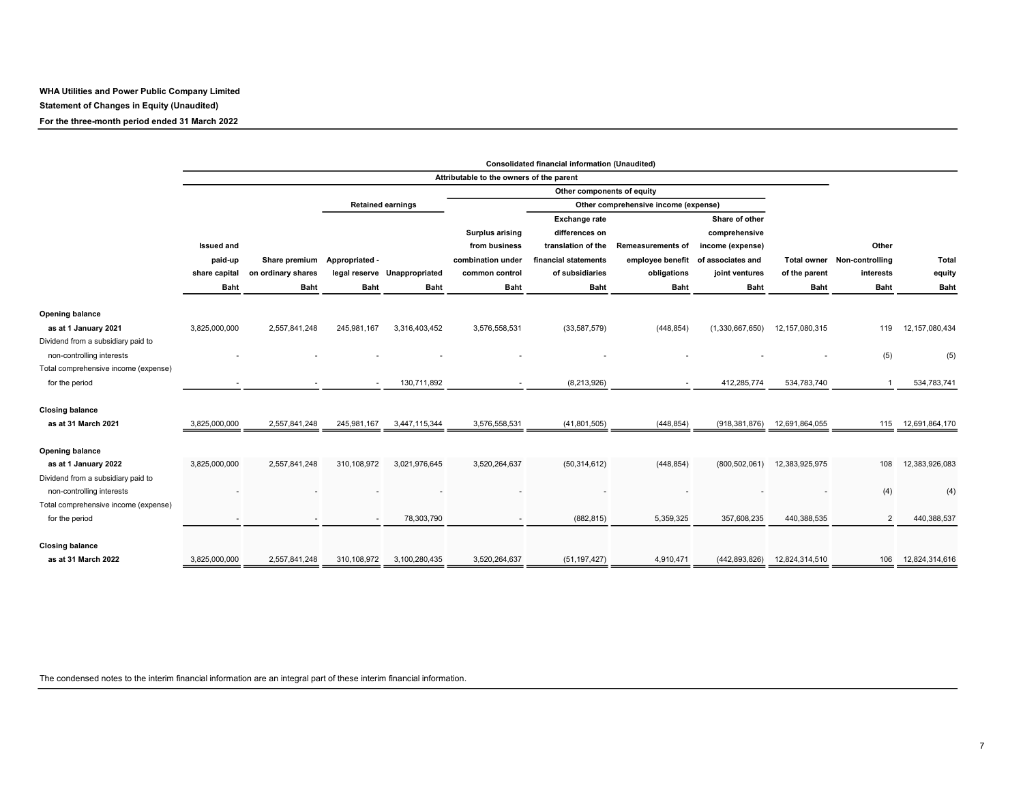WHA Utilities and Power Public Company Limited Statement of Changes in Equity (Unaudited)

For the three-month period ended 31 March 2022

|                                      |                   |                    |                |                              |                                          | <b>Consolidated financial information (Unaudited)</b> |                          |                   |                   |                             |                   |
|--------------------------------------|-------------------|--------------------|----------------|------------------------------|------------------------------------------|-------------------------------------------------------|--------------------------|-------------------|-------------------|-----------------------------|-------------------|
|                                      |                   |                    |                |                              | Attributable to the owners of the parent |                                                       |                          |                   |                   |                             |                   |
|                                      |                   |                    |                |                              |                                          | Other components of equity                            |                          |                   |                   |                             |                   |
|                                      |                   |                    |                | <b>Retained earnings</b>     |                                          | Other comprehensive income (expense)                  |                          |                   |                   |                             |                   |
|                                      |                   |                    |                |                              |                                          | <b>Exchange rate</b>                                  |                          | Share of other    |                   |                             |                   |
|                                      |                   |                    |                |                              | <b>Surplus arising</b>                   | differences on                                        |                          | comprehensive     |                   |                             |                   |
|                                      | <b>Issued and</b> |                    |                |                              | from business                            | translation of the                                    | <b>Remeasurements of</b> | income (expense)  |                   | Other                       |                   |
|                                      | paid-up           | Share premium      | Appropriated - |                              | combination under                        | financial statements                                  | employee benefit         | of associates and |                   | Total owner Non-controlling | Total             |
|                                      | share capital     | on ordinary shares |                | legal reserve Unappropriated | common control                           | of subsidiaries                                       | obligations              | joint ventures    | of the parent     | interests                   | equity            |
|                                      | <b>Baht</b>       | <b>Baht</b>        | <b>Baht</b>    | <b>Baht</b>                  | <b>Baht</b>                              | <b>Baht</b>                                           | <b>Baht</b>              | <b>Baht</b>       | <b>Baht</b>       | <b>Baht</b>                 | <b>Baht</b>       |
| <b>Opening balance</b>               |                   |                    |                |                              |                                          |                                                       |                          |                   |                   |                             |                   |
| as at 1 January 2021                 | 3,825,000,000     | 2,557,841,248      | 245,981,167    | 3,316,403,452                | 3,576,558,531                            | (33,587,579)                                          | (448, 854)               | (1,330,667,650)   | 12, 157, 080, 315 | 119                         | 12, 157, 080, 434 |
| Dividend from a subsidiary paid to   |                   |                    |                |                              |                                          |                                                       |                          |                   |                   |                             |                   |
| non-controlling interests            |                   |                    |                |                              |                                          |                                                       |                          |                   |                   | (5)                         | (5)               |
| Total comprehensive income (expense) |                   |                    |                |                              |                                          |                                                       |                          |                   |                   |                             |                   |
| for the period                       |                   |                    | $\sim$         | 130,711,892                  |                                          | (8, 213, 926)                                         | $\overline{\phantom{a}}$ | 412,285,774       | 534,783,740       | $\mathbf{1}$                | 534,783,741       |
| <b>Closing balance</b>               |                   |                    |                |                              |                                          |                                                       |                          |                   |                   |                             |                   |
| as at 31 March 2021                  | 3,825,000,000     | 2,557,841,248      | 245,981,167    | 3,447,115,344                | 3,576,558,531                            | (41, 801, 505)                                        | (448, 854)               | (918, 381, 876)   | 12,691,864,055    | 115                         | 12,691,864,170    |
| Opening balance                      |                   |                    |                |                              |                                          |                                                       |                          |                   |                   |                             |                   |
| as at 1 January 2022                 | 3,825,000,000     | 2,557,841,248      | 310,108,972    | 3,021,976,645                | 3,520,264,637                            | (50, 314, 612)                                        | (448, 854)               | (800, 502, 061)   | 12,383,925,975    | 108                         | 12,383,926,083    |
| Dividend from a subsidiary paid to   |                   |                    |                |                              |                                          |                                                       |                          |                   |                   |                             |                   |
| non-controlling interests            |                   |                    |                |                              |                                          |                                                       |                          |                   |                   | (4)                         | (4)               |
| Total comprehensive income (expense) |                   |                    |                |                              |                                          |                                                       |                          |                   |                   |                             |                   |
| for the period                       |                   |                    | $\sim$         | 78,303,790                   |                                          | (882, 815)                                            | 5,359,325                | 357,608,235       | 440,388,535       | 2                           | 440,388,537       |
| <b>Closing balance</b>               |                   |                    |                |                              |                                          |                                                       |                          |                   |                   |                             |                   |
| as at 31 March 2022                  | 3,825,000,000     | 2,557,841,248      | 310,108,972    | 3,100,280,435                | 3,520,264,637                            | (51, 197, 427)                                        | 4,910,471                | (442, 893, 826)   | 12,824,314,510    | 106                         | 12,824,314,616    |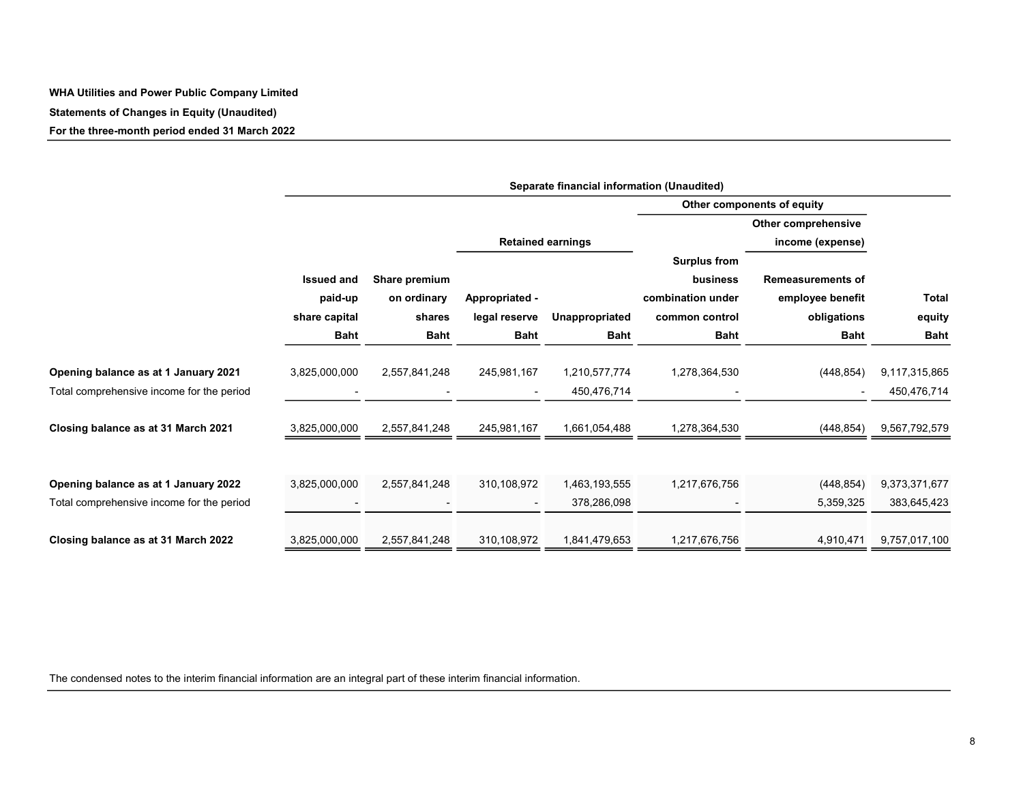#### WHA Utilities and Power Public Company Limited

Statements of Changes in Equity (Unaudited)

For the three-month period ended 31 March 2022

|                                           | Separate financial information (Unaudited) |               |                          |                          |                     |                            |               |  |  |  |  |
|-------------------------------------------|--------------------------------------------|---------------|--------------------------|--------------------------|---------------------|----------------------------|---------------|--|--|--|--|
|                                           |                                            |               |                          |                          |                     | Other components of equity |               |  |  |  |  |
|                                           |                                            |               |                          |                          |                     | Other comprehensive        |               |  |  |  |  |
|                                           |                                            |               |                          | <b>Retained earnings</b> |                     | income (expense)           |               |  |  |  |  |
|                                           |                                            |               |                          |                          | <b>Surplus from</b> |                            |               |  |  |  |  |
|                                           | <b>Issued and</b>                          | Share premium |                          |                          | business            | <b>Remeasurements of</b>   |               |  |  |  |  |
|                                           | paid-up                                    | on ordinary   | Appropriated -           |                          | combination under   | employee benefit           | <b>Total</b>  |  |  |  |  |
|                                           | share capital                              | shares        | legal reserve            | Unappropriated           | common control      | obligations                | equity        |  |  |  |  |
|                                           | <b>Baht</b>                                | <b>Baht</b>   | <b>Baht</b>              | <b>Baht</b>              | <b>Baht</b>         | <b>Baht</b>                | <b>Baht</b>   |  |  |  |  |
| Opening balance as at 1 January 2021      | 3,825,000,000                              | 2,557,841,248 | 245,981,167              | 1,210,577,774            | 1,278,364,530       | (448, 854)                 | 9,117,315,865 |  |  |  |  |
| Total comprehensive income for the period |                                            |               | $\overline{\phantom{a}}$ | 450,476,714              |                     |                            | 450,476,714   |  |  |  |  |
| Closing balance as at 31 March 2021       | 3,825,000,000                              | 2,557,841,248 | 245,981,167              | 1,661,054,488            | 1,278,364,530       | (448, 854)                 | 9,567,792,579 |  |  |  |  |
|                                           |                                            |               |                          |                          |                     |                            |               |  |  |  |  |
| Opening balance as at 1 January 2022      | 3,825,000,000                              | 2,557,841,248 | 310,108,972              | 1,463,193,555            | 1,217,676,756       | (448, 854)                 | 9,373,371,677 |  |  |  |  |
| Total comprehensive income for the period |                                            |               | $\blacksquare$           | 378,286,098              |                     | 5,359,325                  | 383,645,423   |  |  |  |  |
|                                           |                                            |               |                          |                          |                     |                            |               |  |  |  |  |
| Closing balance as at 31 March 2022       | 3,825,000,000                              | 2,557,841,248 | 310,108,972              | 1,841,479,653            | 1,217,676,756       | 4,910,471                  | 9,757,017,100 |  |  |  |  |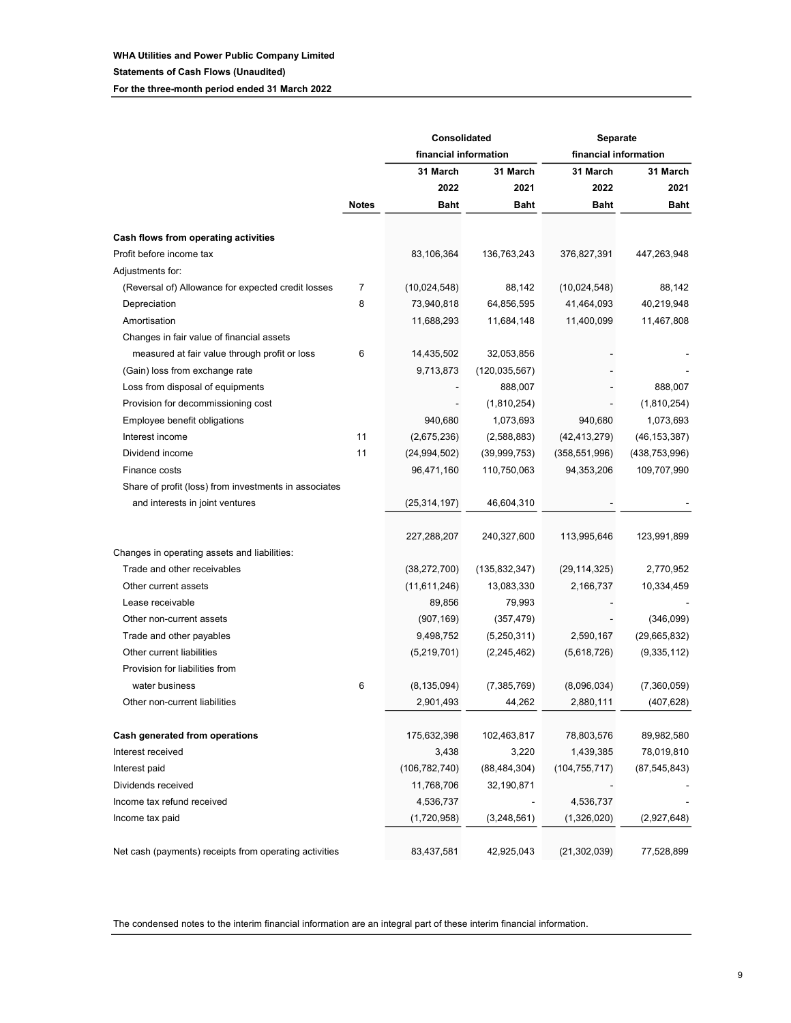#### WHA Utilities and Power Public Company Limited Statements of Cash Flows (Unaudited) For the three-month period ended 31 March 2022

|                                                        |              | Consolidated          | Separate        |                       |                |  |
|--------------------------------------------------------|--------------|-----------------------|-----------------|-----------------------|----------------|--|
|                                                        |              | financial information |                 | financial information |                |  |
|                                                        |              | 31 March              | 31 March        | 31 March              | 31 March       |  |
|                                                        |              | 2022                  | 2021            | 2022                  | 2021           |  |
|                                                        | <b>Notes</b> | <b>Baht</b>           | <b>Baht</b>     | <b>Baht</b>           | Baht           |  |
| Cash flows from operating activities                   |              |                       |                 |                       |                |  |
| Profit before income tax                               |              | 83,106,364            | 136,763,243     | 376,827,391           | 447,263,948    |  |
| Adjustments for:                                       |              |                       |                 |                       |                |  |
| (Reversal of) Allowance for expected credit losses     | 7            | (10,024,548)          | 88,142          | (10,024,548)          | 88,142         |  |
| Depreciation                                           | 8            | 73,940,818            | 64,856,595      | 41,464,093            | 40,219,948     |  |
| Amortisation                                           |              | 11,688,293            | 11,684,148      | 11,400,099            | 11,467,808     |  |
| Changes in fair value of financial assets              |              |                       |                 |                       |                |  |
| measured at fair value through profit or loss          | 6            | 14,435,502            | 32,053,856      |                       |                |  |
| (Gain) loss from exchange rate                         |              | 9,713,873             | (120, 035, 567) |                       |                |  |
| Loss from disposal of equipments                       |              |                       | 888,007         |                       | 888,007        |  |
| Provision for decommissioning cost                     |              |                       | (1,810,254)     |                       | (1,810,254)    |  |
| Employee benefit obligations                           |              | 940,680               | 1,073,693       | 940,680               | 1,073,693      |  |
| Interest income                                        | 11           | (2,675,236)           | (2,588,883)     | (42, 413, 279)        | (46, 153, 387) |  |
| Dividend income                                        | 11           | (24, 994, 502)        | (39,999,753)    | (358, 551, 996)       | (438,753,996)  |  |
| Finance costs                                          |              | 96,471,160            | 110,750,063     | 94,353,206            | 109,707,990    |  |
| Share of profit (loss) from investments in associates  |              |                       |                 |                       |                |  |
| and interests in joint ventures                        |              | (25, 314, 197)        | 46,604,310      |                       |                |  |
|                                                        |              |                       |                 |                       |                |  |
|                                                        |              | 227,288,207           | 240,327,600     | 113,995,646           | 123,991,899    |  |
| Changes in operating assets and liabilities:           |              |                       |                 |                       |                |  |
| Trade and other receivables                            |              | (38, 272, 700)        | (135, 832, 347) | (29, 114, 325)        | 2,770,952      |  |
| Other current assets                                   |              | (11,611,246)          | 13,083,330      | 2,166,737             | 10,334,459     |  |
| Lease receivable                                       |              | 89,856                | 79,993          |                       |                |  |
| Other non-current assets                               |              | (907, 169)            | (357, 479)      |                       | (346,099)      |  |
| Trade and other payables                               |              | 9,498,752             | (5,250,311)     | 2,590,167             | (29,665,832)   |  |
| Other current liabilities                              |              | (5,219,701)           | (2, 245, 462)   | (5,618,726)           | (9,335,112)    |  |
| Provision for liabilities from                         |              |                       |                 |                       |                |  |
| water business                                         | 6            | (8, 135, 094)         | (7, 385, 769)   | (8,096,034)           | (7,360,059)    |  |
| Other non-current liabilities                          |              | 2,901,493             | 44,262          | 2,880,111             | (407, 628)     |  |
| Cash generated from operations                         |              | 175,632,398           | 102,463,817     | 78,803,576            | 89,982,580     |  |
| Interest received                                      |              | 3,438                 | 3,220           | 1,439,385             | 78,019,810     |  |
| Interest paid                                          |              | (106, 782, 740)       | (88, 484, 304)  | (104, 755, 717)       | (87, 545, 843) |  |
| Dividends received                                     |              | 11,768,706            | 32,190,871      |                       |                |  |
| Income tax refund received                             |              | 4,536,737             |                 | 4,536,737             |                |  |
| Income tax paid                                        |              | (1,720,958)           | (3,248,561)     | (1,326,020)           | (2,927,648)    |  |
|                                                        |              |                       |                 |                       |                |  |
| Net cash (payments) receipts from operating activities |              | 83,437,581            | 42,925,043      | (21, 302, 039)        | 77,528,899     |  |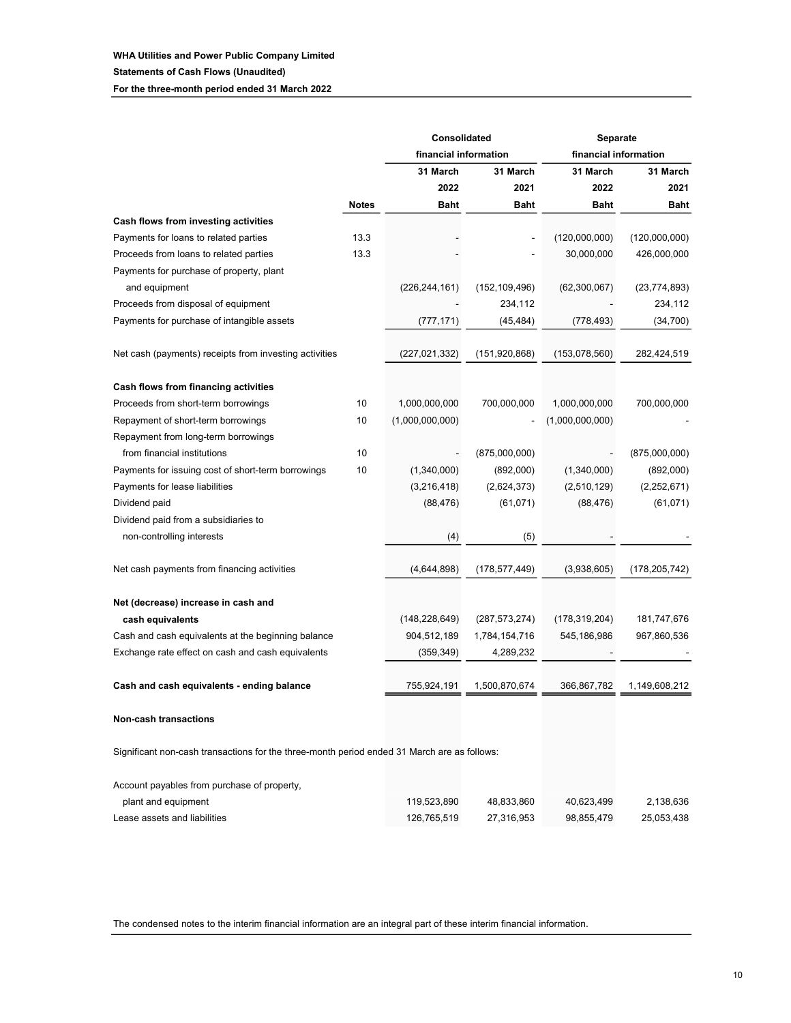|                                                                                             |              | Consolidated          | Separate        |                       |                |
|---------------------------------------------------------------------------------------------|--------------|-----------------------|-----------------|-----------------------|----------------|
|                                                                                             |              | financial information |                 | financial information |                |
|                                                                                             |              | 31 March              | 31 March        | 31 March              | 31 March       |
|                                                                                             |              | 2022                  | 2021            | 2022                  | 2021           |
|                                                                                             | <b>Notes</b> | Baht                  | <b>Baht</b>     | <b>Baht</b>           | Baht           |
| Cash flows from investing activities                                                        |              |                       |                 |                       |                |
| Payments for loans to related parties                                                       | 13.3         |                       |                 | (120,000,000)         | (120,000,000)  |
| Proceeds from loans to related parties                                                      | 13.3         |                       |                 | 30,000,000            | 426,000,000    |
| Payments for purchase of property, plant                                                    |              |                       |                 |                       |                |
| and equipment                                                                               |              | (226, 244, 161)       | (152, 109, 496) | (62,300,067)          | (23, 774, 893) |
| Proceeds from disposal of equipment                                                         |              |                       | 234,112         |                       | 234,112        |
| Payments for purchase of intangible assets                                                  |              | (777, 171)            | (45, 484)       | (778, 493)            | (34, 700)      |
| Net cash (payments) receipts from investing activities                                      |              | (227,021,332)         | (151, 920, 868) | (153,078,560)         | 282,424,519    |
| Cash flows from financing activities                                                        |              |                       |                 |                       |                |
| Proceeds from short-term borrowings                                                         | 10           | 1,000,000,000         | 700,000,000     | 1,000,000,000         | 700,000,000    |
| Repayment of short-term borrowings                                                          | 10           | (1,000,000,000)       |                 | (1,000,000,000)       |                |
| Repayment from long-term borrowings                                                         |              |                       |                 |                       |                |
| from financial institutions                                                                 | 10           |                       | (875,000,000)   |                       | (875,000,000)  |
| Payments for issuing cost of short-term borrowings                                          | 10           | (1,340,000)           | (892,000)       | (1,340,000)           | (892,000)      |
| Payments for lease liabilities                                                              |              | (3,216,418)           | (2,624,373)     | (2,510,129)           | (2,252,671)    |
| Dividend paid                                                                               |              | (88, 476)             | (61, 071)       | (88, 476)             | (61, 071)      |
| Dividend paid from a subsidiaries to                                                        |              |                       |                 |                       |                |
| non-controlling interests                                                                   |              | (4)                   | (5)             |                       |                |
| Net cash payments from financing activities                                                 |              | (4,644,898)           | (178, 577, 449) | (3,938,605)           | (178,205,742)  |
| Net (decrease) increase in cash and                                                         |              |                       |                 |                       |                |
| cash equivalents                                                                            |              | (148,228,649)         | (287, 573, 274) | (178, 319, 204)       | 181,747,676    |
| Cash and cash equivalents at the beginning balance                                          |              | 904,512,189           | 1,784,154,716   | 545,186,986           | 967,860,536    |
| Exchange rate effect on cash and cash equivalents                                           |              | (359, 349)            | 4,289,232       |                       |                |
| Cash and cash equivalents - ending balance                                                  |              | 755,924,191           | 1,500,870,674   | 366,867,782           | 1,149,608,212  |
| <b>Non-cash transactions</b>                                                                |              |                       |                 |                       |                |
| Significant non-cash transactions for the three-month period ended 31 March are as follows: |              |                       |                 |                       |                |
| Account payables from purchase of property,                                                 |              |                       |                 |                       |                |
| plant and equipment                                                                         |              | 119,523,890           | 48,833,860      | 40,623,499            | 2,138,636      |
| Lease assets and liabilities                                                                |              | 126,765,519           | 27,316,953      | 98,855,479            | 25,053,438     |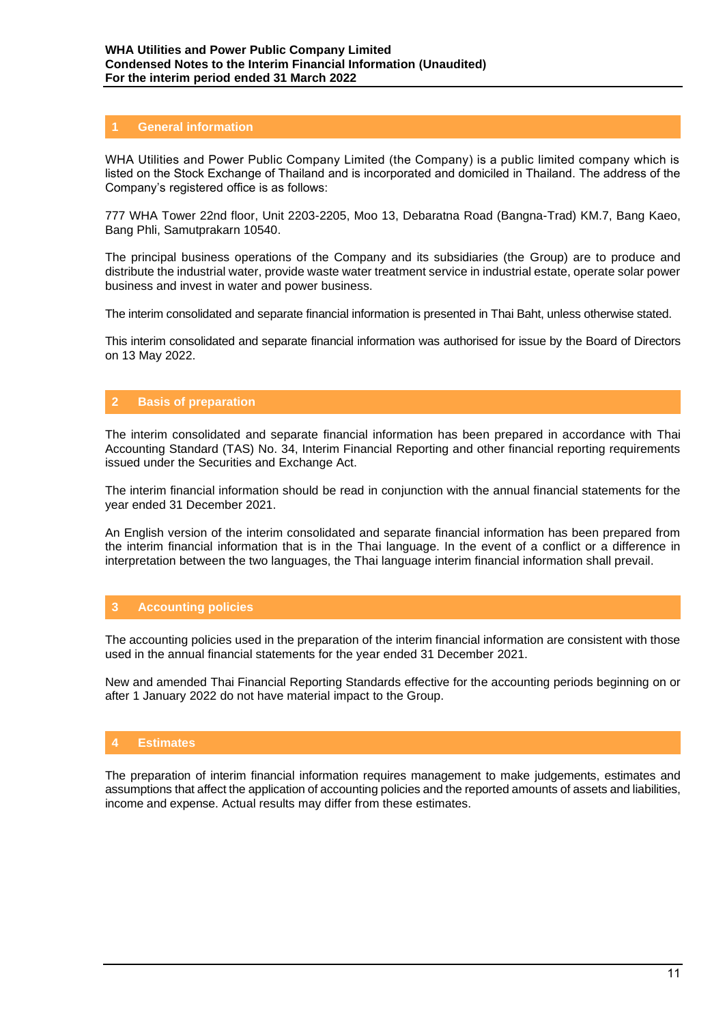## **1 General information**

WHA Utilities and Power Public Company Limited (the Company) is a public limited company which is listed on the Stock Exchange of Thailand and is incorporated and domiciled in Thailand. The address of the Company's registered office is as follows:

777 WHA Tower 22nd floor, Unit 2203-2205, Moo 13, Debaratna Road (Bangna-Trad) KM.7, Bang Kaeo, Bang Phli, Samutprakarn 10540.

The principal business operations of the Company and its subsidiaries (the Group) are to produce and distribute the industrial water, provide waste water treatment service in industrial estate, operate solar power business and invest in water and power business.

The interim consolidated and separate financial information is presented in Thai Baht, unless otherwise stated.

This interim consolidated and separate financial information was authorised for issue by the Board of Directors on 13 May 2022.

## **2 Basis of preparation**

The interim consolidated and separate financial information has been prepared in accordance with Thai Accounting Standard (TAS) No. 34, Interim Financial Reporting and other financial reporting requirements issued under the Securities and Exchange Act.

The interim financial information should be read in conjunction with the annual financial statements for the year ended 31 December 2021.

An English version of the interim consolidated and separate financial information has been prepared from the interim financial information that is in the Thai language. In the event of a conflict or a difference in interpretation between the two languages, the Thai language interim financial information shall prevail.

## **3 Accounting policies**

The accounting policies used in the preparation of the interim financial information are consistent with those used in the annual financial statements for the year ended 31 December 2021.

New and amended Thai Financial Reporting Standards effective for the accounting periods beginning on or after 1 January 2022 do not have material impact to the Group.

## **4 Estimates**

The preparation of interim financial information requires management to make judgements, estimates and assumptions that affect the application of accounting policies and the reported amounts of assets and liabilities, income and expense. Actual results may differ from these estimates.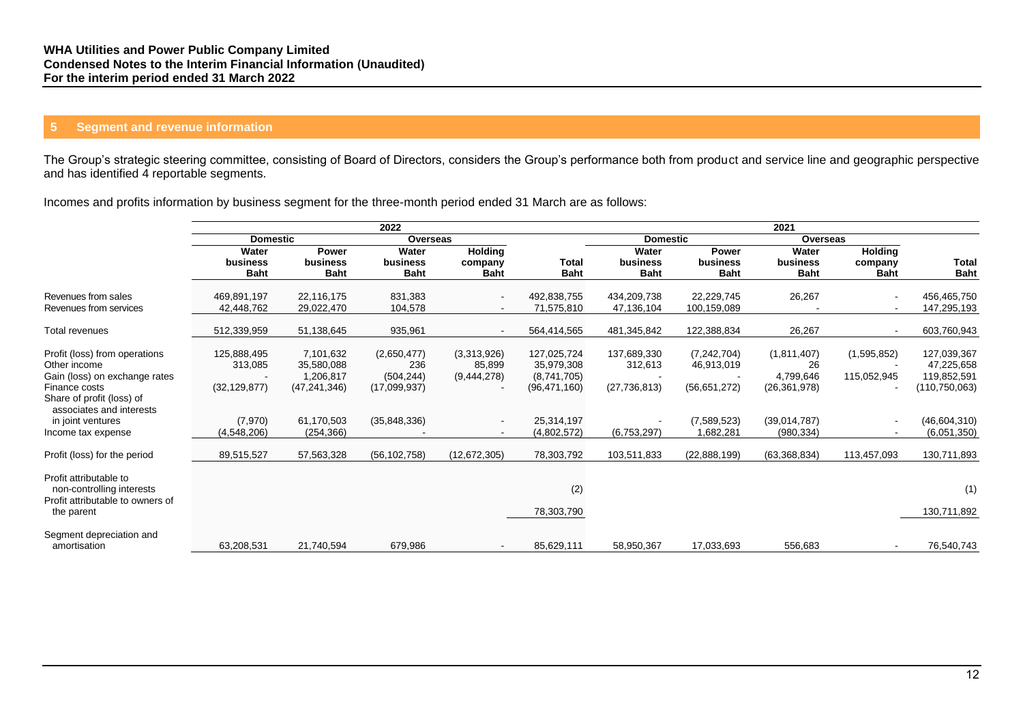## **5 Segment and revenue information**

The Group's strategic steering committee, consisting of Board of Directors, considers the Group's performance both from product and service line and geographic perspective and has identified 4 reportable segments.

Incomes and profits information by business segment for the three-month period ended 31 March are as follows:

|                                                                                                                              |                                          |                                                        | 2022                                             |                                                      | 2021                                                       |                                          |                                             |                                                  |                                          |                                                             |
|------------------------------------------------------------------------------------------------------------------------------|------------------------------------------|--------------------------------------------------------|--------------------------------------------------|------------------------------------------------------|------------------------------------------------------------|------------------------------------------|---------------------------------------------|--------------------------------------------------|------------------------------------------|-------------------------------------------------------------|
|                                                                                                                              | <b>Domestic</b>                          |                                                        | Overseas                                         |                                                      |                                                            | <b>Domestic</b>                          |                                             | Overseas                                         |                                          |                                                             |
|                                                                                                                              | Water<br>business<br><b>Baht</b>         | Power<br>business<br><b>Baht</b>                       | Water<br>business<br><b>Baht</b>                 | <b>Holding</b><br>company<br><b>Baht</b>             | Total<br><b>Baht</b>                                       | Water<br>business<br><b>Baht</b>         | <b>Power</b><br>business<br><b>Baht</b>     | Water<br>business<br><b>Baht</b>                 | <b>Holding</b><br>company<br><b>Baht</b> | Total<br><b>Baht</b>                                        |
| Revenues from sales<br>Revenues from services                                                                                | 469.891.197<br>42,448,762                | 22,116,175<br>29,022,470                               | 831,383<br>104,578                               | $\overline{\phantom{a}}$<br>$\overline{\phantom{a}}$ | 492,838,755<br>71,575,810                                  | 434,209,738<br>47,136,104                | 22,229,745<br>100,159,089                   | 26,267                                           |                                          | 456,465,750<br>147,295,193                                  |
| Total revenues                                                                                                               | 512,339,959                              | 51,138,645                                             | 935,961                                          |                                                      | 564,414,565                                                | 481,345,842                              | 122,388,834                                 | 26,267                                           |                                          | 603,760,943                                                 |
| Profit (loss) from operations<br>Other income<br>Gain (loss) on exchange rates<br>Finance costs<br>Share of profit (loss) of | 125,888,495<br>313,085<br>(32, 129, 877) | 7,101,632<br>35,580,088<br>1,206,817<br>(47, 241, 346) | (2,650,477)<br>236<br>(504, 244)<br>(17,099,937) | (3,313,926)<br>85,899<br>(9,444,278)                 | 127,025,724<br>35,979,308<br>(8,741,705)<br>(96, 471, 160) | 137,689,330<br>312,613<br>(27, 736, 813) | (7, 242, 704)<br>46,913,019<br>(56,651,272) | (1,811,407)<br>26<br>4,799,646<br>(26, 361, 978) | (1,595,852)<br>115,052,945               | 127,039,367<br>47,225,658<br>119,852,591<br>(110, 750, 063) |
| associates and interests<br>in joint ventures<br>Income tax expense                                                          | (7,970)<br>(4,548,206)                   | 61,170,503<br>(254, 366)                               | (35,848,336)                                     | $\overline{\phantom{a}}$                             | 25,314,197<br>(4,802,572)                                  | (6,753,297)                              | (7,589,523)<br>1,682,281                    | (39.014, 787)<br>(980, 334)                      |                                          | (46, 604, 310)<br>(6,051,350)                               |
| Profit (loss) for the period                                                                                                 | 89,515,527                               | 57,563,328                                             | (56, 102, 758)                                   | (12, 672, 305)                                       | 78,303,792                                                 | 103,511,833                              | (22,888,199)                                | (63, 368, 834)                                   | 113,457,093                              | 130,711,893                                                 |
| Profit attributable to<br>non-controlling interests<br>Profit attributable to owners of                                      |                                          |                                                        |                                                  |                                                      | (2)                                                        |                                          |                                             |                                                  |                                          | (1)                                                         |
| the parent<br>Segment depreciation and<br>amortisation                                                                       | 63,208,531                               | 21,740,594                                             | 679,986                                          |                                                      | 78,303,790<br>85,629,111                                   | 58,950,367                               | 17,033,693                                  | 556,683                                          |                                          | 130,711,892<br>76,540,743                                   |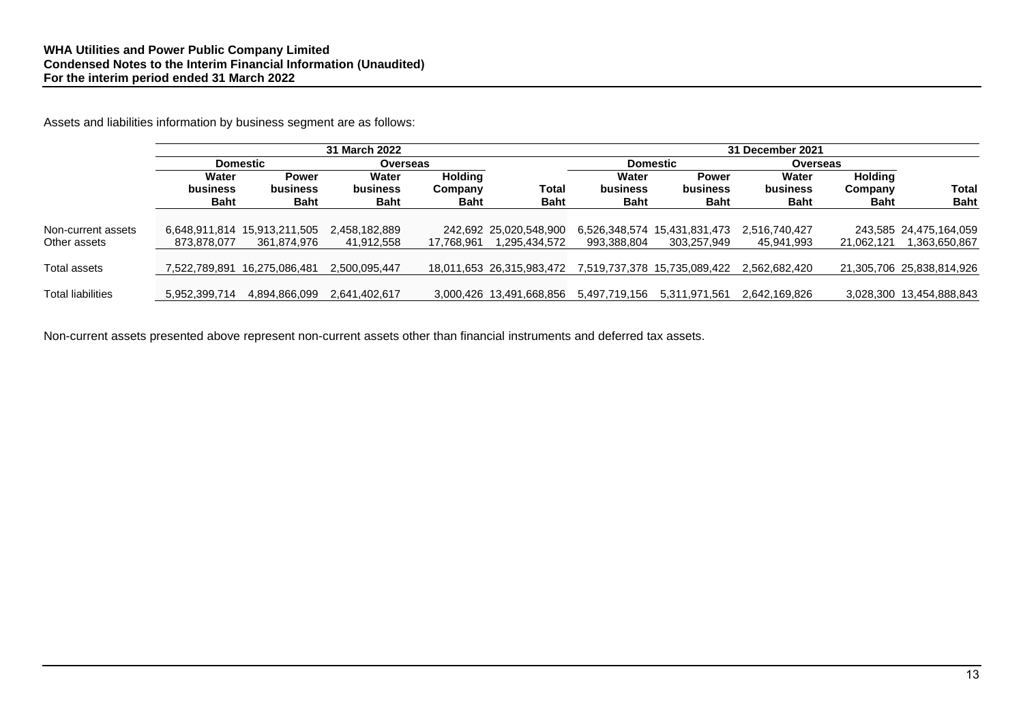Assets and liabilities information by business segment are as follows:

|                          |                   | 31 March 2022                |                   |                           |                           |                   | 31 December 2021             |                          |                           |                           |  |
|--------------------------|-------------------|------------------------------|-------------------|---------------------------|---------------------------|-------------------|------------------------------|--------------------------|---------------------------|---------------------------|--|
|                          |                   | <b>Domestic</b><br>Overseas  |                   |                           |                           | <b>Domestic</b>   |                              | Overseas                 |                           |                           |  |
|                          | Water<br>business | <b>Power</b><br>business     | Water<br>business | <b>Holding</b><br>Company | Total                     | Water<br>business | <b>Power</b><br>business     | Water<br><b>business</b> | <b>Holding</b><br>Company | Total                     |  |
|                          | <b>Baht</b>       | <b>Baht</b>                  | <b>Baht</b>       | <b>Baht</b>               | <b>Baht</b>               | Baht              | <b>Baht</b>                  | <b>Baht</b>              | <b>Baht</b>               | <b>Baht</b>               |  |
| Non-current assets       |                   | 6,648,911,814 15,913,211,505 | 2,458,182,889     |                           | 242,692 25,020,548,900    |                   | 6,526,348,574 15,431,831,473 | 2,516,740,427            |                           | 243,585 24,475,164,059    |  |
| Other assets             | 873.878.077       | 361,874,976                  | 41,912,558        | 17.768.961                | 1,295,434,572             | 993,388,804       | 303,257,949                  | 45,941,993               | 21.062.121                | 363,650,867               |  |
| Total assets             | 7.522.789.891     | 16,275,086,481               | 2,500,095,447     |                           | 18.011.653 26.315.983.472 |                   | 7.519.737.378 15.735.089.422 | 2.562.682.420            |                           | 21,305,706 25,838,814,926 |  |
| <b>Total liabilities</b> | 5,952,399,714     | 4,894,866,099                | 2,641,402,617     |                           | 3,000,426 13,491,668,856  | 5,497,719,156     | 5,311,971,561                | 2,642,169,826            |                           | 3,028,300 13,454,888,843  |  |

Non-current assets presented above represent non-current assets other than financial instruments and deferred tax assets.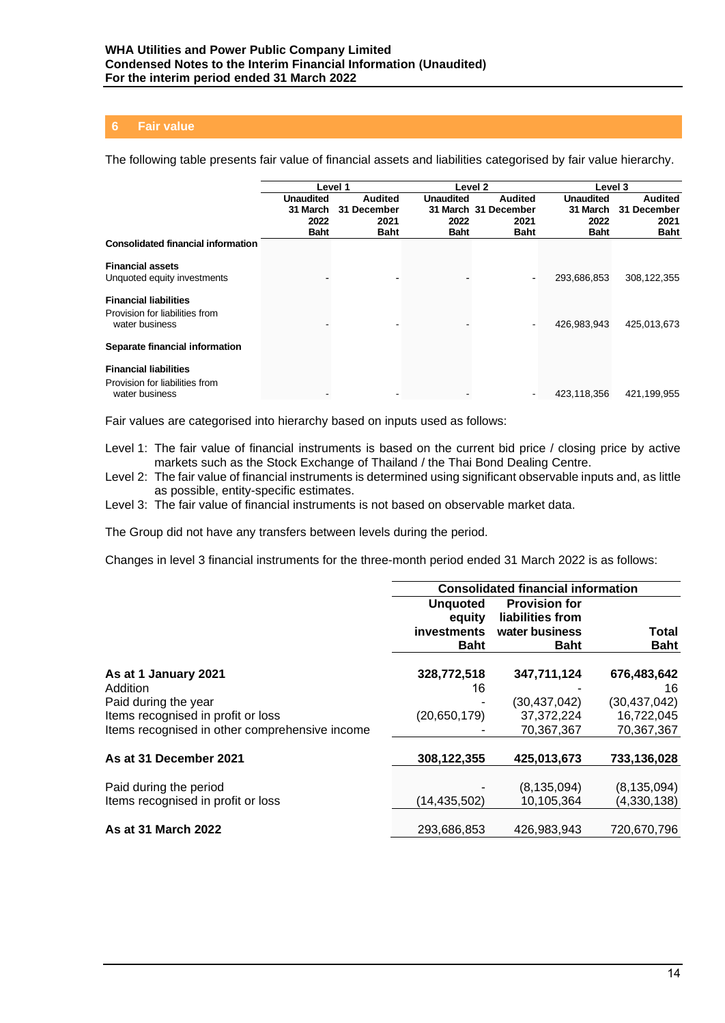## **6 Fair value**

The following table presents fair value of financial assets and liabilities categorised by fair value hierarchy.

|                                           | Level 1          |                |                  | Level <sub>2</sub>   | Level 3          |                |
|-------------------------------------------|------------------|----------------|------------------|----------------------|------------------|----------------|
|                                           | <b>Unaudited</b> | <b>Audited</b> | <b>Unaudited</b> | <b>Audited</b>       | <b>Unaudited</b> | <b>Audited</b> |
|                                           | 31 March         | 31 December    |                  | 31 March 31 December | 31 March         | 31 December    |
|                                           | 2022             | 2021           | 2022             | 2021                 | 2022             | 2021           |
|                                           | <b>Baht</b>      | <b>Baht</b>    | <b>Baht</b>      | <b>Baht</b>          | <b>Baht</b>      | <b>Baht</b>    |
| <b>Consolidated financial information</b> |                  |                |                  |                      |                  |                |
| <b>Financial assets</b>                   |                  |                |                  |                      |                  |                |
| Unquoted equity investments               |                  |                |                  |                      | 293,686,853      | 308,122,355    |
| <b>Financial liabilities</b>              |                  |                |                  |                      |                  |                |
| Provision for liabilities from            |                  |                |                  |                      |                  |                |
| water business                            |                  |                |                  |                      | 426,983,943      | 425,013,673    |
| Separate financial information            |                  |                |                  |                      |                  |                |
| <b>Financial liabilities</b>              |                  |                |                  |                      |                  |                |
| Provision for liabilities from            |                  |                |                  |                      |                  |                |
| water business                            |                  |                |                  |                      | 423,118,356      | 421,199,955    |

Fair values are categorised into hierarchy based on inputs used as follows:

- Level 1: The fair value of financial instruments is based on the current bid price / closing price by active markets such as the Stock Exchange of Thailand / the Thai Bond Dealing Centre.
- Level 2: The fair value of financial instruments is determined using significant observable inputs and, as little as possible, entity-specific estimates.
- Level 3: The fair value of financial instruments is not based on observable market data.

The Group did not have any transfers between levels during the period.

Changes in level 3 financial instruments for the three-month period ended 31 March 2022 is as follows:

|                                                                                      |                           | <b>Consolidated financial information</b> |                          |
|--------------------------------------------------------------------------------------|---------------------------|-------------------------------------------|--------------------------|
|                                                                                      | <b>Unguoted</b><br>equity | <b>Provision for</b><br>liabilities from  |                          |
|                                                                                      | <b>investments</b>        | water business                            | Total                    |
|                                                                                      | <b>Baht</b>               | <b>Baht</b>                               | <b>Baht</b>              |
| As at 1 January 2021                                                                 | 328,772,518               | 347,711,124                               | 676,483,642              |
| Addition                                                                             | 16                        |                                           | 16                       |
| Paid during the year                                                                 |                           | (30, 437, 042)                            | (30, 437, 042)           |
| Items recognised in profit or loss<br>Items recognised in other comprehensive income | (20, 650, 179)            | 37, 372, 224<br>70,367,367                | 16,722,045<br>70,367,367 |
| As at 31 December 2021                                                               | 308,122,355               | 425,013,673                               | 733,136,028              |
| Paid during the period                                                               |                           | (8, 135, 094)                             | (8, 135, 094)            |
| Items recognised in profit or loss                                                   | (14, 435, 502)            | 10,105,364                                | (4,330,138)              |
| As at 31 March 2022                                                                  | 293,686,853               | 426,983,943                               | 720,670,796              |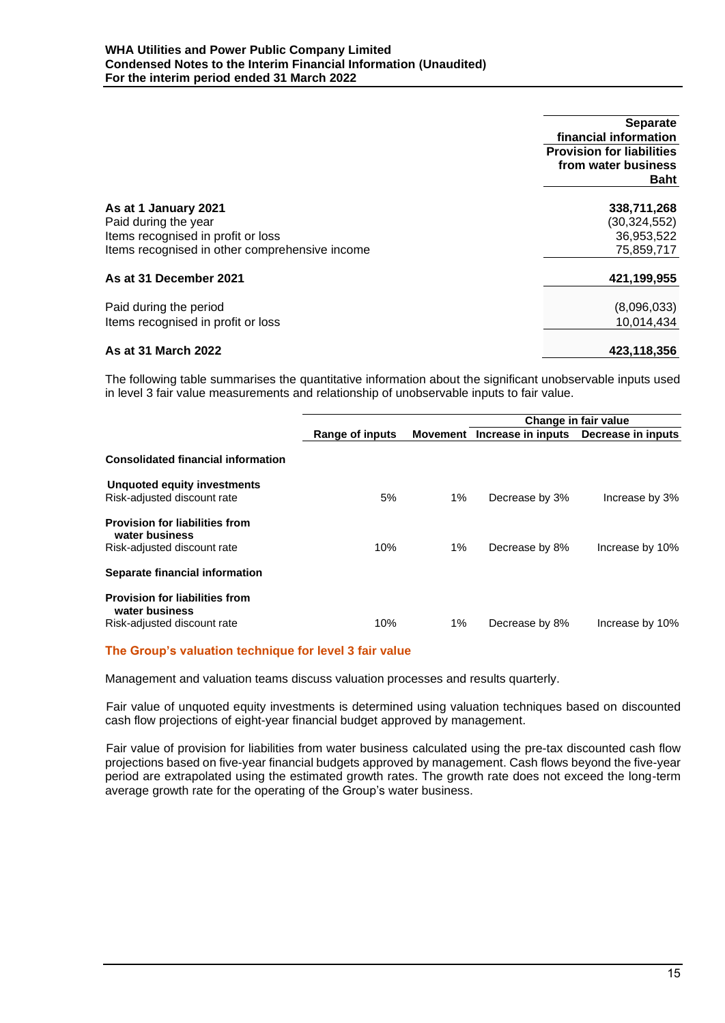|                                                | <b>Separate</b>                  |
|------------------------------------------------|----------------------------------|
|                                                | financial information            |
|                                                | <b>Provision for liabilities</b> |
|                                                | from water business              |
|                                                | Baht                             |
| As at 1 January 2021                           | 338,711,268                      |
| Paid during the year                           | (30,324,552)                     |
| Items recognised in profit or loss             | 36,953,522                       |
| Items recognised in other comprehensive income | 75,859,717                       |
| As at 31 December 2021                         | 421,199,955                      |
| Paid during the period                         | (8,096,033)                      |
| Items recognised in profit or loss             | 10.014.434                       |
| As at 31 March 2022                            | 423,118,356                      |

The following table summarises the quantitative information about the significant unobservable inputs used in level 3 fair value measurements and relationship of unobservable inputs to fair value.

|                                                                                        |                 |       | Change in fair value        |                    |
|----------------------------------------------------------------------------------------|-----------------|-------|-----------------------------|--------------------|
|                                                                                        | Range of inputs |       | Movement Increase in inputs | Decrease in inputs |
| <b>Consolidated financial information</b>                                              |                 |       |                             |                    |
| Unquoted equity investments<br>Risk-adjusted discount rate                             | 5%              | $1\%$ | Decrease by 3%              | Increase by 3%     |
| <b>Provision for liabilities from</b><br>water business<br>Risk-adjusted discount rate | 10%             | 1%    | Decrease by 8%              | Increase by 10%    |
| Separate financial information                                                         |                 |       |                             |                    |
| <b>Provision for liabilities from</b><br>water business<br>Risk-adjusted discount rate | 10%             | 1%    | Decrease by 8%              | Increase by 10%    |

# **The Group's valuation technique for level 3 fair value**

Management and valuation teams discuss valuation processes and results quarterly.

Fair value of unquoted equity investments is determined using valuation techniques based on discounted cash flow projections of eight-year financial budget approved by management.

Fair value of provision for liabilities from water business calculated using the pre-tax discounted cash flow projections based on five-year financial budgets approved by management. Cash flows beyond the five-year period are extrapolated using the estimated growth rates. The growth rate does not exceed the long-term average growth rate for the operating of the Group's water business.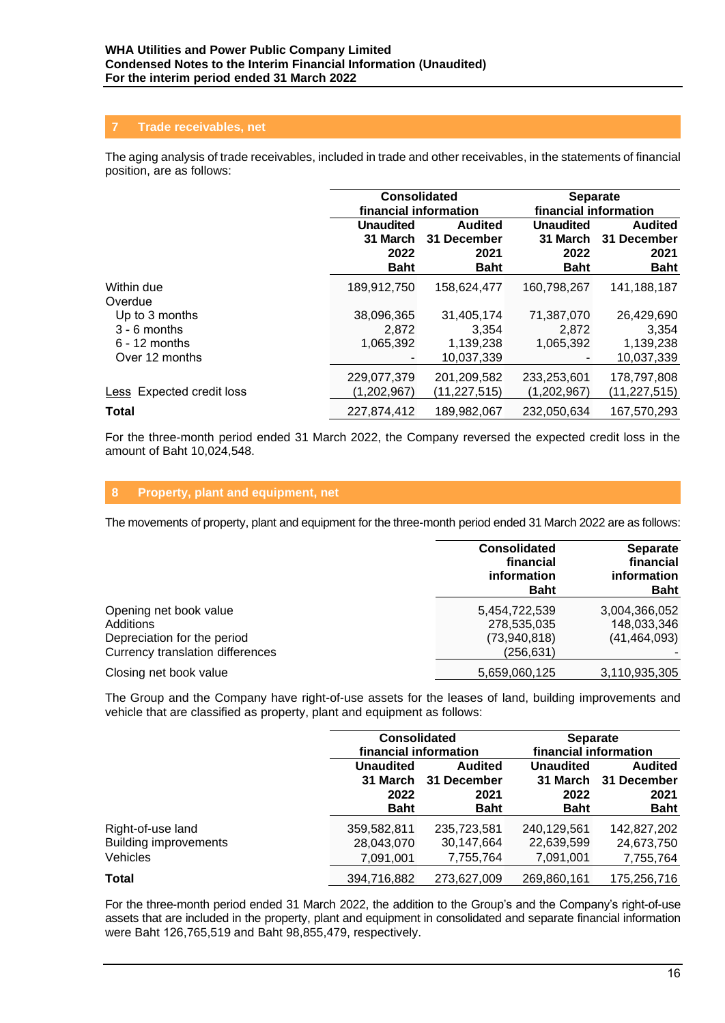## **7 Trade receivables, net**

The aging analysis of trade receivables, included in trade and other receivables, in the statements of financial position, are as follows:

|                           | <b>Consolidated</b><br>financial information        |                                                      | <b>Separate</b><br>financial information            |                                                      |
|---------------------------|-----------------------------------------------------|------------------------------------------------------|-----------------------------------------------------|------------------------------------------------------|
|                           | <b>Unaudited</b><br>31 March<br>2022<br><b>Baht</b> | <b>Audited</b><br>31 December<br>2021<br><b>Baht</b> | <b>Unaudited</b><br>31 March<br>2022<br><b>Baht</b> | <b>Audited</b><br>31 December<br>2021<br><b>Baht</b> |
| Within due<br>Overdue     | 189,912,750                                         | 158,624,477                                          | 160,798,267                                         | 141,188,187                                          |
| Up to 3 months            | 38,096,365                                          | 31,405,174                                           | 71,387,070                                          | 26,429,690                                           |
| $3 - 6$ months            | 2,872                                               | 3,354                                                | 2,872                                               | 3,354                                                |
| $6 - 12$ months           | 1,065,392                                           | 1,139,238                                            | 1,065,392                                           | 1,139,238                                            |
| Over 12 months            |                                                     | 10.037.339                                           |                                                     | 10,037,339                                           |
|                           | 229,077,379                                         | 201,209,582                                          | 233,253,601                                         | 178,797,808                                          |
| Less Expected credit loss | (1,202,967)                                         | (11, 227, 515)                                       | (1,202,967)                                         | (11, 227, 515)                                       |
| <b>Total</b>              | 227.874.412                                         | 189.982.067                                          | 232.050.634                                         | 167,570,293                                          |

For the three-month period ended 31 March 2022, the Company reversed the expected credit loss in the amount of Baht 10,024,548.

## **8 Property, plant and equipment, net**

The movements of property, plant and equipment for the three-month period ended 31 March 2022 are as follows:

|                                                                 | <b>Consolidated</b><br>financial<br>information<br><b>Baht</b> | <b>Separate</b><br>financial<br>information<br><b>Baht</b> |
|-----------------------------------------------------------------|----------------------------------------------------------------|------------------------------------------------------------|
| Opening net book value<br>Additions                             | 5,454,722,539<br>278,535,035                                   | 3,004,366,052<br>148,033,346                               |
| Depreciation for the period<br>Currency translation differences | (73,940,818)<br>(256,631)                                      | (41, 464, 093)                                             |
| Closing net book value                                          | 5,659,060,125                                                  | 3,110,935,305                                              |

The Group and the Company have right-of-use assets for the leases of land, building improvements and vehicle that are classified as property, plant and equipment as follows:

|                                                                      |                                         | <b>Consolidated</b><br>financial information                  |                                                     | <b>Separate</b><br>financial information             |
|----------------------------------------------------------------------|-----------------------------------------|---------------------------------------------------------------|-----------------------------------------------------|------------------------------------------------------|
|                                                                      | <b>Unaudited</b><br>2022<br><b>Baht</b> | <b>Audited</b><br>31 March 31 December<br>2021<br><b>Baht</b> | <b>Unaudited</b><br>31 March<br>2022<br><b>Baht</b> | <b>Audited</b><br>31 December<br>2021<br><b>Baht</b> |
| Right-of-use land<br><b>Building improvements</b><br><b>Vehicles</b> | 359,582,811<br>28,043,070<br>7,091,001  | 235,723,581<br>30,147,664<br>7,755,764                        | 240,129,561<br>22,639,599<br>7,091,001              | 142,827,202<br>24,673,750<br>7,755,764               |
| <b>Total</b>                                                         | 394,716,882                             | 273,627,009                                                   | 269,860,161                                         | 175,256,716                                          |

For the three-month period ended 31 March 2022, the addition to the Group's and the Company's right-of-use assets that are included in the property, plant and equipment in consolidated and separate financial information were Baht 126,765,519 and Baht 98,855,479, respectively.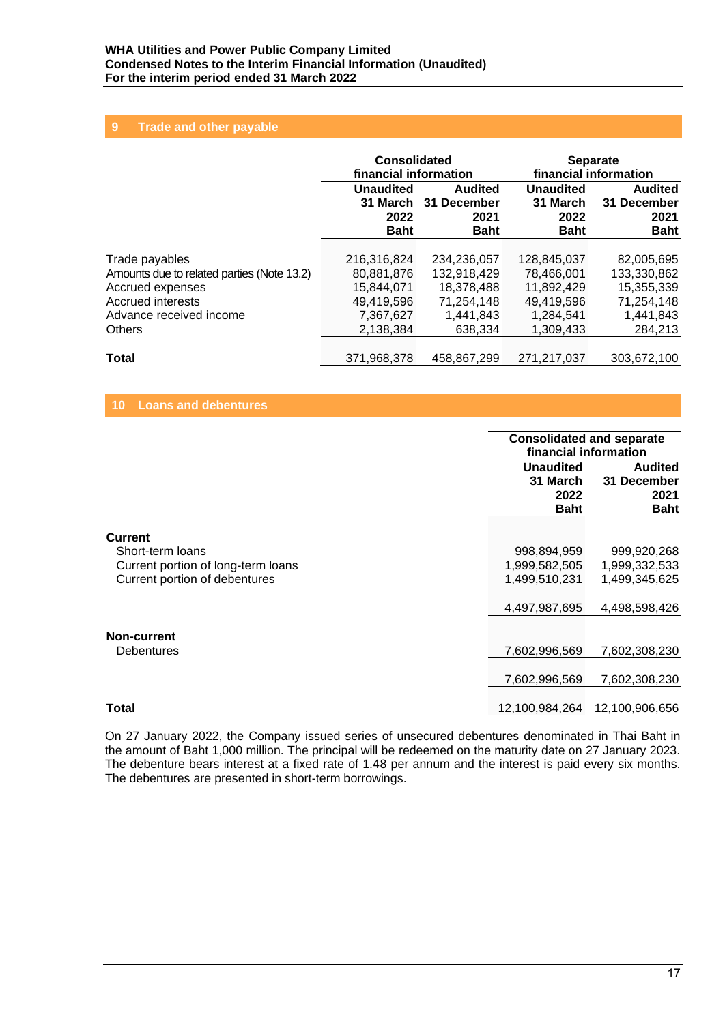## **9 Trade and other payable**

|                                            | <b>Consolidated</b><br>financial information |                | <b>Separate</b><br>financial information |                |
|--------------------------------------------|----------------------------------------------|----------------|------------------------------------------|----------------|
|                                            | <b>Unaudited</b>                             | <b>Audited</b> | <b>Unaudited</b>                         | <b>Audited</b> |
|                                            | 31 March                                     | 31 December    | 31 March                                 | 31 December    |
|                                            | 2022                                         | 2021           | 2022                                     | 2021           |
|                                            | <b>Baht</b>                                  | <b>Baht</b>    | <b>Baht</b>                              | <b>Baht</b>    |
| Trade payables                             | 216,316,824                                  | 234.236.057    | 128,845,037                              | 82,005,695     |
| Amounts due to related parties (Note 13.2) | 80,881,876                                   | 132,918,429    | 78,466,001                               | 133,330,862    |
| Accrued expenses                           | 15.844.071                                   | 18.378.488     | 11.892.429                               | 15,355,339     |
| <b>Accrued interests</b>                   | 49,419,596                                   | 71,254,148     | 49,419,596                               | 71,254,148     |
| Advance received income                    | 7,367,627                                    | 1,441,843      | 1,284,541                                | 1,441,843      |
| <b>Others</b>                              | 2,138,384                                    | 638.334        | 1,309,433                                | 284,213        |
| Total                                      | 371.968.378                                  | 458.867.299    | 271.217.037                              | 303,672,100    |

#### **10 Loans and debentures**

|                                                                                                           |                                                                | <b>Consolidated and separate</b><br>financial information      |  |  |
|-----------------------------------------------------------------------------------------------------------|----------------------------------------------------------------|----------------------------------------------------------------|--|--|
|                                                                                                           | <b>Unaudited</b><br>31 March<br>2022<br><b>Baht</b>            | <b>Audited</b><br>31 December<br>2021<br><b>Baht</b>           |  |  |
| <b>Current</b><br>Short-term loans<br>Current portion of long-term loans<br>Current portion of debentures | 998,894,959<br>1,999,582,505<br>1,499,510,231<br>4,497,987,695 | 999,920,268<br>1,999,332,533<br>1,499,345,625<br>4,498,598,426 |  |  |
| Non-current<br><b>Debentures</b>                                                                          | 7,602,996,569<br>7,602,996,569                                 | 7,602,308,230<br>7,602,308,230                                 |  |  |
| Total                                                                                                     | 12,100,984,264                                                 | 12,100,906,656                                                 |  |  |

On 27 January 2022, the Company issued series of unsecured debentures denominated in Thai Baht in the amount of Baht 1,000 million. The principal will be redeemed on the maturity date on 27 January 2023. The debenture bears interest at a fixed rate of 1.48 per annum and the interest is paid every six months. The debentures are presented in short-term borrowings.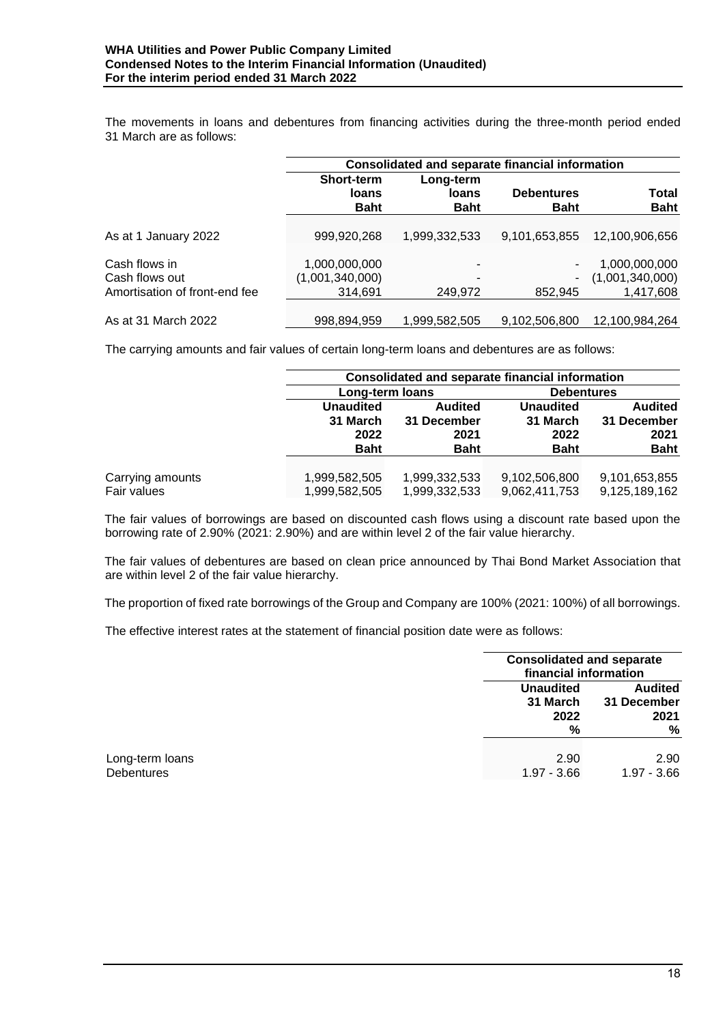The movements in loans and debentures from financing activities during the three-month period ended 31 March are as follows:

|                               | <b>Consolidated and separate financial information</b> |               |                   |                 |  |
|-------------------------------|--------------------------------------------------------|---------------|-------------------|-----------------|--|
|                               | <b>Short-term</b>                                      | Long-term     |                   |                 |  |
|                               | loans                                                  | loans         | <b>Debentures</b> | <b>Total</b>    |  |
|                               | <b>Baht</b>                                            | <b>Baht</b>   | <b>Baht</b>       | <b>Baht</b>     |  |
|                               |                                                        |               |                   |                 |  |
| As at 1 January 2022          | 999,920,268                                            | 1,999,332,533 | 9,101,653,855     | 12,100,906,656  |  |
|                               |                                                        |               |                   |                 |  |
| Cash flows in                 | 1,000,000,000                                          | ٠             | ۰                 | 1,000,000,000   |  |
| Cash flows out                | (1,001,340,000)                                        |               | -                 | (1,001,340,000) |  |
| Amortisation of front-end fee | 314,691                                                | 249,972       | 852.945           | 1,417,608       |  |
|                               |                                                        |               |                   |                 |  |
| As at 31 March 2022           | 998,894,959                                            | 1,999,582,505 | 9,102,506,800     | 12,100,984,264  |  |

The carrying amounts and fair values of certain long-term loans and debentures are as follows:

|                  |                  | <b>Consolidated and separate financial information</b> |                   |                |  |  |
|------------------|------------------|--------------------------------------------------------|-------------------|----------------|--|--|
|                  | Long-term loans  |                                                        | <b>Debentures</b> |                |  |  |
|                  | <b>Unaudited</b> | <b>Audited</b>                                         | <b>Unaudited</b>  | <b>Audited</b> |  |  |
|                  | 31 March         | 31 December                                            | 31 March          | 31 December    |  |  |
|                  | 2022             | 2021                                                   | 2022              | 2021           |  |  |
|                  | <b>Baht</b>      | <b>Baht</b>                                            | <b>Baht</b>       | <b>Baht</b>    |  |  |
|                  |                  |                                                        |                   |                |  |  |
| Carrying amounts | 1,999,582,505    | 1,999,332,533                                          | 9,102,506,800     | 9,101,653,855  |  |  |
| Fair values      | 1,999,582,505    | 1,999,332,533                                          | 9,062,411,753     | 9,125,189,162  |  |  |

The fair values of borrowings are based on discounted cash flows using a discount rate based upon the borrowing rate of 2.90% (2021: 2.90%) and are within level 2 of the fair value hierarchy.

The fair values of debentures are based on clean price announced by Thai Bond Market Association that are within level 2 of the fair value hierarchy.

The proportion of fixed rate borrowings of the Group and Company are 100% (2021: 100%) of all borrowings.

The effective interest rates at the statement of financial position date were as follows:

|                                      |                                           | <b>Consolidated and separate</b><br>financial information |  |  |
|--------------------------------------|-------------------------------------------|-----------------------------------------------------------|--|--|
|                                      | <b>Unaudited</b><br>31 March<br>2022<br>% | <b>Audited</b><br>31 December<br>2021<br>%                |  |  |
| Long-term loans<br><b>Debentures</b> | 2.90<br>$1.97 - 3.66$                     | 2.90<br>$1.97 - 3.66$                                     |  |  |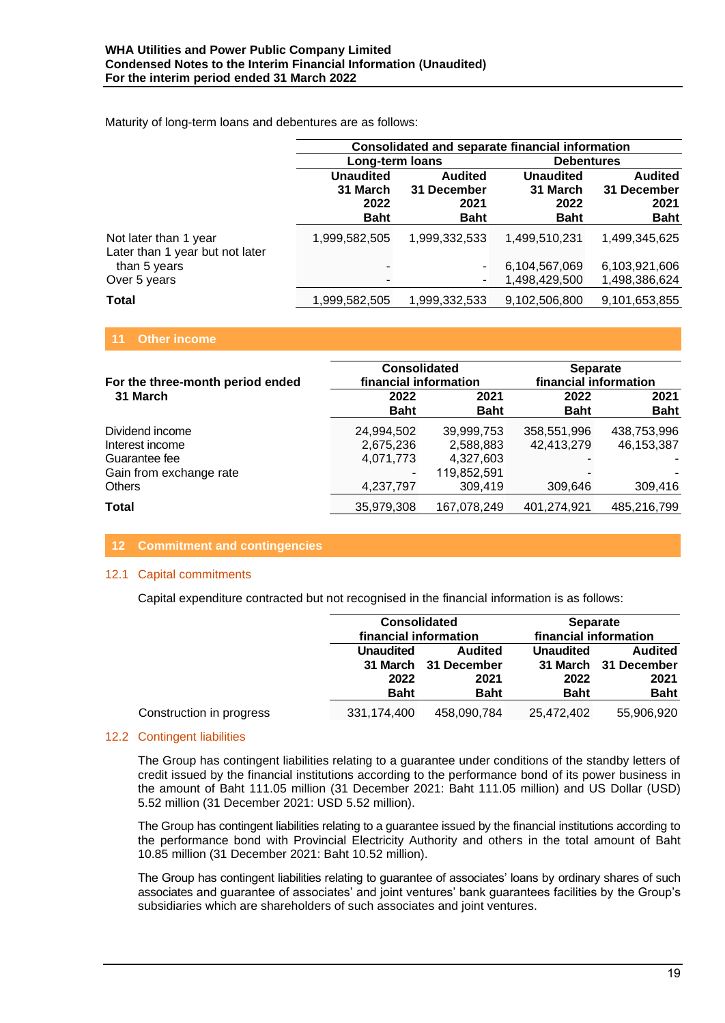Maturity of long-term loans and debentures are as follows:

|                                                          | <b>Consolidated and separate financial information</b> |                                                      |                                                     |                                                      |
|----------------------------------------------------------|--------------------------------------------------------|------------------------------------------------------|-----------------------------------------------------|------------------------------------------------------|
|                                                          | Long-term loans                                        |                                                      | <b>Debentures</b>                                   |                                                      |
|                                                          | <b>Unaudited</b><br>31 March<br>2022<br><b>Baht</b>    | <b>Audited</b><br>31 December<br>2021<br><b>Baht</b> | <b>Unaudited</b><br>31 March<br>2022<br><b>Baht</b> | <b>Audited</b><br>31 December<br>2021<br><b>Baht</b> |
| Not later than 1 year<br>Later than 1 year but not later | 1,999,582,505                                          | 1,999,332,533                                        | 1,499,510,231                                       | 1,499,345,625                                        |
| than 5 years                                             |                                                        |                                                      | 6,104,567,069                                       | 6,103,921,606                                        |
| Over 5 years                                             |                                                        |                                                      | 1,498,429,500                                       | 1,498,386,624                                        |
| <b>Total</b>                                             | 1,999,582,505                                          | 1,999,332,533                                        | 9,102,506,800                                       | 9,101,653,855                                        |

#### **11 Other income**

| For the three-month period ended         | <b>Consolidated</b><br>financial information |                          | <b>Separate</b><br>financial information |                           |
|------------------------------------------|----------------------------------------------|--------------------------|------------------------------------------|---------------------------|
| 31 March                                 | 2022<br><b>Baht</b>                          | 2021<br><b>Baht</b>      | 2022<br><b>Baht</b>                      | 2021<br><b>Baht</b>       |
| Dividend income<br>Interest income       | 24,994,502<br>2,675,236                      | 39.999.753<br>2,588,883  | 358,551,996<br>42,413,279                | 438,753,996<br>46,153,387 |
| Guarantee fee<br>Gain from exchange rate | 4,071,773                                    | 4,327,603<br>119,852,591 |                                          |                           |
| <b>Others</b>                            | 4,237,797                                    | 309,419                  | 309,646                                  | 309,416                   |
| Total                                    | 35,979,308                                   | 167,078,249              | 401,274,921                              | 485,216,799               |

## **12 Commitment and contingencies**

#### 12.1 Capital commitments

Capital expenditure contracted but not recognised in the financial information is as follows:

|                          |                  | <b>Consolidated</b><br>financial information |                  | <b>Separate</b><br>financial information |  |
|--------------------------|------------------|----------------------------------------------|------------------|------------------------------------------|--|
|                          |                  |                                              |                  |                                          |  |
|                          | <b>Unaudited</b> | <b>Audited</b>                               | <b>Unaudited</b> | <b>Audited</b>                           |  |
|                          |                  | 31 March 31 December                         |                  | 31 March 31 December                     |  |
|                          | 2022             | 2021                                         | 2022             | 2021                                     |  |
|                          | <b>Baht</b>      | <b>Baht</b>                                  | <b>Baht</b>      | <b>Baht</b>                              |  |
| Construction in progress | 331,174,400      | 458,090,784                                  | 25,472,402       | 55,906,920                               |  |

## 12.2 Contingent liabilities

The Group has contingent liabilities relating to a guarantee under conditions of the standby letters of credit issued by the financial institutions according to the performance bond of its power business in the amount of Baht 111.05 million (31 December 2021: Baht 111.05 million) and US Dollar (USD) 5.52 million (31 December 2021: USD 5.52 million).

The Group has contingent liabilities relating to a guarantee issued by the financial institutions according to the performance bond with Provincial Electricity Authority and others in the total amount of Baht 10.85 million (31 December 2021: Baht 10.52 million).

The Group has contingent liabilities relating to guarantee of associates' loans by ordinary shares of such associates and guarantee of associates' and joint ventures' bank guarantees facilities by the Group's subsidiaries which are shareholders of such associates and joint ventures.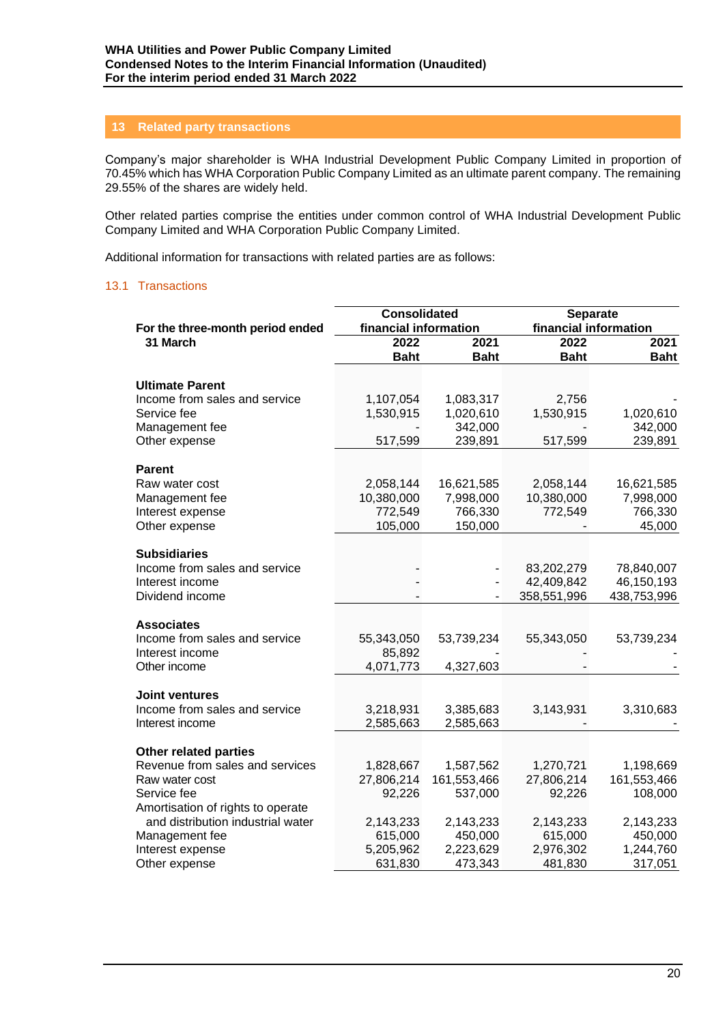#### **13 Related party transactions**

Company's major shareholder is WHA Industrial Development Public Company Limited in proportion of 70.45% which has WHA Corporation Public Company Limited as an ultimate parent company. The remaining 29.55% of the shares are widely held.

Other related parties comprise the entities under common control of WHA Industrial Development Public Company Limited and WHA Corporation Public Company Limited.

Additional information for transactions with related parties are as follows:

#### 13.1 Transactions

|                                                        | <b>Consolidated</b>   |                      | <b>Separate</b>           |                           |
|--------------------------------------------------------|-----------------------|----------------------|---------------------------|---------------------------|
| For the three-month period ended                       | financial information |                      | financial information     |                           |
| 31 March                                               | 2022                  | 2021                 | 2022                      | 2021                      |
|                                                        | <b>Baht</b>           | <b>Baht</b>          | <b>Baht</b>               | <b>Baht</b>               |
| <b>Ultimate Parent</b>                                 |                       |                      |                           |                           |
| Income from sales and service                          | 1,107,054             | 1,083,317            | 2,756                     |                           |
| Service fee                                            | 1,530,915             | 1,020,610            | 1,530,915                 | 1,020,610                 |
| Management fee                                         |                       | 342,000              |                           | 342,000                   |
| Other expense                                          | 517,599               | 239,891              | 517,599                   | 239,891                   |
| <b>Parent</b>                                          |                       |                      |                           |                           |
| Raw water cost                                         | 2,058,144             | 16,621,585           | 2,058,144                 | 16,621,585                |
| Management fee                                         | 10,380,000            | 7,998,000            | 10,380,000                | 7,998,000                 |
| Interest expense                                       | 772,549               | 766,330              | 772,549                   | 766,330                   |
| Other expense                                          | 105,000               | 150,000              |                           | 45,000                    |
|                                                        |                       |                      |                           |                           |
| <b>Subsidiaries</b>                                    |                       |                      |                           |                           |
| Income from sales and service                          |                       |                      | 83,202,279                | 78,840,007                |
| Interest income<br>Dividend income                     |                       |                      | 42,409,842<br>358,551,996 | 46,150,193<br>438,753,996 |
|                                                        |                       |                      |                           |                           |
| <b>Associates</b>                                      |                       |                      |                           |                           |
| Income from sales and service                          | 55,343,050            | 53,739,234           | 55,343,050                | 53,739,234                |
| Interest income                                        | 85,892                |                      |                           |                           |
| Other income                                           | 4,071,773             | 4,327,603            |                           |                           |
|                                                        |                       |                      |                           |                           |
| <b>Joint ventures</b><br>Income from sales and service | 3,218,931             | 3,385,683            | 3,143,931                 | 3,310,683                 |
| Interest income                                        | 2,585,663             | 2,585,663            |                           |                           |
|                                                        |                       |                      |                           |                           |
| <b>Other related parties</b>                           |                       |                      |                           |                           |
| Revenue from sales and services                        | 1,828,667             | 1,587,562            | 1,270,721                 | 1,198,669                 |
| Raw water cost                                         | 27,806,214            | 161,553,466          | 27,806,214                | 161,553,466               |
| Service fee                                            | 92,226                | 537,000              | 92,226                    | 108,000                   |
| Amortisation of rights to operate                      |                       |                      |                           |                           |
| and distribution industrial water                      | 2,143,233             | 2,143,233            | 2,143,233                 | 2,143,233                 |
| Management fee                                         | 615,000<br>5,205,962  | 450,000<br>2,223,629 | 615,000<br>2,976,302      | 450,000<br>1,244,760      |
| Interest expense<br>Other expense                      | 631,830               | 473,343              | 481,830                   | 317,051                   |
|                                                        |                       |                      |                           |                           |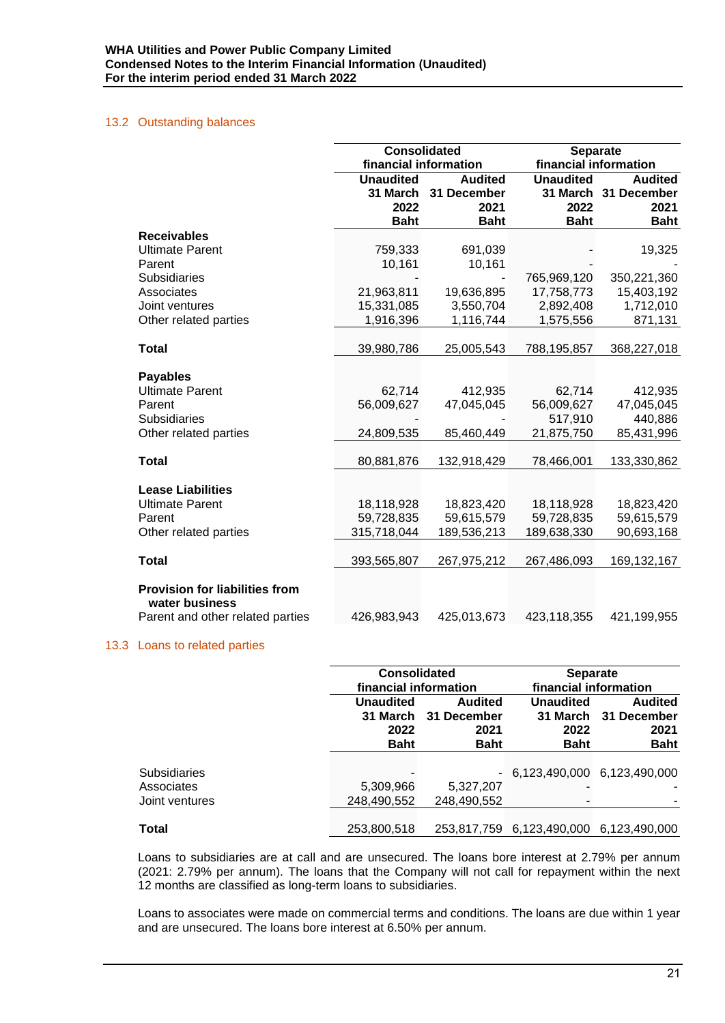#### 13.2 Outstanding balances

|                                                         | <b>Consolidated</b><br>financial information |                       | <b>Separate</b><br>financial information |                       |
|---------------------------------------------------------|----------------------------------------------|-----------------------|------------------------------------------|-----------------------|
|                                                         | <b>Unaudited</b>                             | <b>Audited</b>        | <b>Unaudited</b>                         | <b>Audited</b>        |
|                                                         | 31 March                                     | 31 December           | 31 March                                 | 31 December           |
|                                                         | 2022                                         | 2021                  | 2022                                     | 2021                  |
|                                                         | <b>Baht</b>                                  | <b>Baht</b>           | <b>Baht</b>                              | <b>Baht</b>           |
| <b>Receivables</b>                                      |                                              |                       |                                          |                       |
| <b>Ultimate Parent</b>                                  | 759,333                                      | 691,039               |                                          | 19,325                |
| Parent                                                  | 10,161                                       | 10,161                |                                          |                       |
| <b>Subsidiaries</b>                                     |                                              |                       | 765,969,120                              | 350,221,360           |
| Associates                                              | 21,963,811                                   | 19,636,895            | 17,758,773                               | 15,403,192            |
| Joint ventures                                          | 15,331,085                                   | 3,550,704             | 2,892,408                                | 1,712,010             |
| Other related parties                                   | 1,916,396                                    | 1,116,744             | 1,575,556                                | 871,131               |
|                                                         |                                              |                       |                                          |                       |
| <b>Total</b>                                            | 39,980,786                                   | 25,005,543            | 788,195,857                              | 368,227,018           |
|                                                         |                                              |                       |                                          |                       |
| <b>Payables</b>                                         |                                              |                       |                                          |                       |
| <b>Ultimate Parent</b><br>Parent                        | 62,714<br>56,009,627                         | 412,935<br>47,045,045 | 62,714<br>56,009,627                     | 412,935<br>47,045,045 |
| <b>Subsidiaries</b>                                     |                                              |                       | 517,910                                  | 440,886               |
| Other related parties                                   | 24,809,535                                   | 85,460,449            | 21,875,750                               | 85,431,996            |
|                                                         |                                              |                       |                                          |                       |
| <b>Total</b>                                            | 80,881,876                                   | 132,918,429           | 78,466,001                               | 133,330,862           |
|                                                         |                                              |                       |                                          |                       |
| <b>Lease Liabilities</b>                                |                                              |                       |                                          |                       |
| <b>Ultimate Parent</b>                                  | 18,118,928                                   | 18,823,420            | 18,118,928                               | 18,823,420            |
| Parent                                                  | 59,728,835                                   | 59,615,579            | 59,728,835                               | 59,615,579            |
| Other related parties                                   | 315,718,044                                  | 189,536,213           | 189,638,330                              | 90,693,168            |
|                                                         |                                              |                       |                                          |                       |
| <b>Total</b>                                            | 393,565,807                                  | 267,975,212           | 267,486,093                              | 169, 132, 167         |
| <b>Provision for liabilities from</b><br>water business |                                              |                       |                                          |                       |
| Parent and other related parties                        | 426,983,943                                  | 425,013,673           | 423,118,355                              | 421,199,955           |

#### 13.3 Loans to related parties

|                                                     | <b>Consolidated</b><br>financial information |                                                               | <b>Separate</b><br>financial information            |                                                      |
|-----------------------------------------------------|----------------------------------------------|---------------------------------------------------------------|-----------------------------------------------------|------------------------------------------------------|
|                                                     | <b>Unaudited</b><br>2022<br><b>Baht</b>      | <b>Audited</b><br>31 March 31 December<br>2021<br><b>Baht</b> | <b>Unaudited</b><br>31 March<br>2022<br><b>Baht</b> | <b>Audited</b><br>31 December<br>2021<br><b>Baht</b> |
| <b>Subsidiaries</b><br>Associates<br>Joint ventures | 5,309,966<br>248,490,552                     | 5,327,207<br>248,490,552                                      | $-6,123,490,0006,123,490,000$                       |                                                      |
| <b>Total</b>                                        | 253,800,518                                  |                                                               | 253,817,759 6,123,490,000 6,123,490,000             |                                                      |

Loans to subsidiaries are at call and are unsecured. The loans bore interest at 2.79% per annum (2021: 2.79% per annum). The loans that the Company will not call for repayment within the next 12 months are classified as long-term loans to subsidiaries.

Loans to associates were made on commercial terms and conditions. The loans are due within 1 year and are unsecured. The loans bore interest at 6.50% per annum.